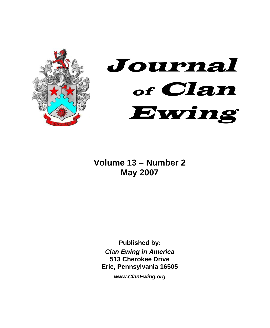



**Volume 13 – Number 2 May 2007** 

**Published by:**  *Clan Ewing in America*  **513 Cherokee Drive Erie, Pennsylvania 16505** 

*www.ClanEwing.org*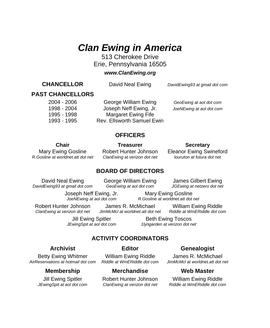# *Clan Ewing in America*

513 Cherokee Drive Erie, Pennsylvania 16505

### *www.ClanEwing.org*

**CHANCELLOR** David Neal Ewing*DavidEwing93 at gmail dot com*

### **PAST CHANCELLORS**

 2004 - 2006 George William Ewing *GeoEwing at aol dot com* 1998 - 2004 Joseph Neff Ewing, Jr. *JoeNEwing at aol dot com* 1995 - 1998 Margaret Ewing Fife 1993 - 1995 Rev. Ellsworth Samuel Ewin

### **OFFICERS**

*R.Gosline at worldnet.att dot net ClanEwing at verizon dot net louruton at futura dot net*

### **Chair Chair Treasurer Secretary**

Mary Ewing Gosline Robert Hunter Johnson Eleanor Ewing Swineford<br>Sosline at worldnet.att dot net ClanEwing at verizon dot net louruton at futura dot net

### **BOARD OF DIRECTORS**

 *DavidEwing93 at gmail dot com GeoEwing at aol dot com JGEwing at netzero dot net* 

David Neal Ewing George William Ewing James Gilbert Ewing

 Joseph Neff Ewing, Jr. Mary Ewing Gosline  *JoeNEwing at aol dot com R.Gosline at worldnet.att dot net* 

Robert Hunter Johnson James R. McMichael William Ewing Riddle<br>ClanEwing at verizon dot net JimMcMcLat worldnet att dot net Riddle at WmERiddle dot com ClanEwing at verizon dot net JimMcMcl at worldnet.att dot net

Jill Ewing Spitler **Beth Ewing Toscos**  *JEwingSpit at aol dot com 1lyngarden at verizon dot net* 

# **ACTIVITY COORDINATORS**

 Betty Ewing Whitmer William Ewing Riddle James R. McMichael  *AirReservations at hotmail dot com Riddle at WmERiddle dot com JimMcMcl at worldnet.att dot net* 

### **Membership Merchandise Web Master**

# Archivist **Editor** Editor Genealogist

 Jill Ewing Spitler Robert Hunter Johnson William Ewing Riddle  *JEwingSpit at aol dot com ClanEwing at verizon dot net Riddle at WmERiddle dot com*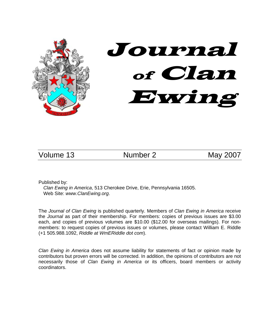

Volume 13 Mumber 2 May 2007

Published by:

*Clan Ewing in America*, 513 Cherokee Drive, Erie, Pennsylvania 16505. Web Site: *www.ClanEwing.org*.

The *Journal of Clan Ewing* is published quarterly. Members of *Clan Ewing in America* receive the *Journal* as part of their membership. For members: copies of previous issues are \$3.00 each, and copies of previous volumes are \$10.00 (\$12.00 for overseas mailings). For nonmembers: to request copies of previous issues or volumes, please contact William E. Riddle (+1 505.988.1092, *Riddle at WmERiddle dot com*).

*Clan Ewing in America* does not assume liability for statements of fact or opinion made by contributors but proven errors will be corrected. In addition, the opinions of contributors are not necessarily those of *Clan Ewing in America* or its officers, board members or activity coordinators.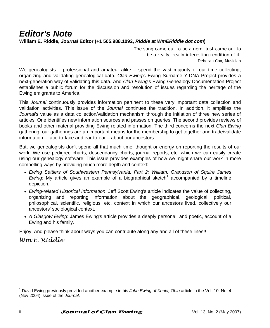# *Editor's Note*  **William E. Riddle,** *Journal* **Editor (+1 505.988.1092,** *Riddle at WmERiddle dot com***)**

*The song came out to be a gem, just came out to be a really, really interesting rendition of it.*  Deborah Cox, Musician

We genealogists – professional and amateur alike – spend the vast majority of our time collecting, organizing and validating genealogical data. *Clan Ewing*'s Ewing Surname Y-DNA Project provides a next-generation way of validating this data. And *Clan Ew*i*ng*'s Ewing Genealogy Documentation Project establishes a public forum for the discussion and resolution of issues regarding the heritage of the Ewing emigrants to America.

This *Journal* continuously provides information pertinent to these very important data collection and validation activities. This issue of the *Journal* continues the tradition. In addition, it amplifies the *Journal*'s value as a data collection/validation mechanism through the initiation of three new series of articles. One identifies new information sources and passes on queries. The second provides reviews of books and other material providing Ewing-related information. The third concerns the next *Clan Ewing* gathering; our gatherings are an important means for the membership to get together and trade/validate information – face-to-face and ear-to-ear – about our ancestors.

But, we genealogists don't spend all that much time, thought or energy on reporting the results of our work. We use pedigree charts, descendancy charts, journal reports, etc. which we can easily create using our genealogy software. This issue provides examples of how we might share our work in more compelling ways by providing much more depth and context:

- *Ewing Settlers of Southwestern Pennsylvania: Part 2: William, Grandson of Squire James Ewing*: My article gives an example of a biographical sketch<sup>1</sup> accompanied by a timeline depiction.
- *Ewing-related Historical Information*: Jeff Scott Ewing's article indicates the value of collecting, organizing and reporting information about the geographical, geological, political, philosophical, scientific, religious, etc. context in which our ancestors lived, collectively our ancestors' sociological context.
- *A Glasgow Ewing*: James Ewing's article provides a deeply personal, and poetic, account of a Ewing and his family.

Enjoy! And please think about ways you can contribute along any and all of these lines!!

*Wm E. Riddle* 

<sup>1</sup> David Ewing previously provided another example in his *John Ewing of Xenia, Ohio* article in the Vol. 10, No. 4 (Nov 2004) issue of the *Journal*.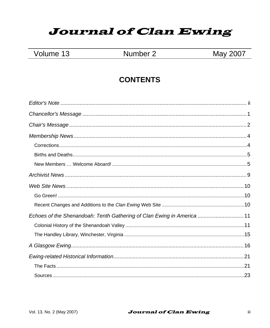# **Journal of Clan Ewing**

|  | Volume 13 |  |
|--|-----------|--|
|--|-----------|--|

# Number 2

# May 2007

# **CONTENTS**

| Echoes of the Shenandoah: Tenth Gathering of Clan Ewing in America 11 |  |
|-----------------------------------------------------------------------|--|
|                                                                       |  |
|                                                                       |  |
|                                                                       |  |
|                                                                       |  |
|                                                                       |  |
|                                                                       |  |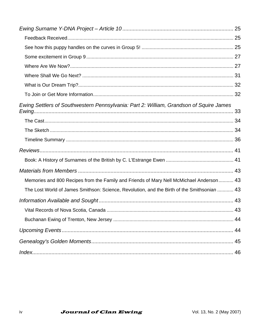| Ewing Settlers of Southwestern Pennsylvania: Part 2: William, Grandson of Squire James      |  |
|---------------------------------------------------------------------------------------------|--|
|                                                                                             |  |
|                                                                                             |  |
|                                                                                             |  |
|                                                                                             |  |
|                                                                                             |  |
|                                                                                             |  |
| Memories and 800 Recipes from the Family and Friends of Mary Nell McMichael Anderson 43     |  |
| The Lost World of James Smithson: Science, Revolution, and the Birth of the Smithsonian  43 |  |
|                                                                                             |  |
|                                                                                             |  |
|                                                                                             |  |
|                                                                                             |  |
|                                                                                             |  |
|                                                                                             |  |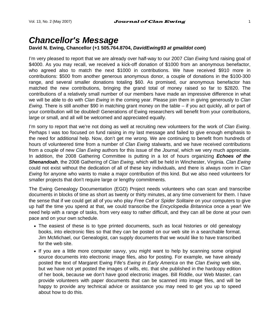# *Chancellor's Message*

### **David N. Ewing, Chancellor (+1 505.764.8704,** *DavidEwing93 at gmaildot com***)**

I'm very pleased to report that we are already over half-way to our 2007 *Clan Ewing* fund raising goal of \$4000. As you may recall, we received a kick-off donation of \$1000 from an anonymous benefactor, who agreed also to match the next \$1000 in contributions. We have received \$910 more in contributions: \$500 from another generous anonymous donor, a couple of donations in the \$100-300 range, and several smaller donations totaling \$60. As promised, our anonymous benefactor has matched the new contributions, bringing the grand total of money raised so far to \$2820. The contributions of a relatively small number of our members have made an impressive difference in what we will be able to do with *Clan Ewing* in the coming year. Please join them in giving generously to *Clan Ewing*. There is still another \$90 in matching grant money on the table – if you act quickly, all or part of your contribution will be doubled! Generations of Ewing researchers will benefit from your contributions, large or small, and all will be welcomed and appreciated equally.

I'm sorry to report that we're not doing as well at recruiting new volunteers for the work of *Clan Ewing*. Perhaps I was too focused on fund raising in my last message and failed to give enough emphasis to the need for additional help. Now, don't get me wrong. We are continuing to benefit from hundreds of hours of volunteered time from a number of *Clan Ewing* stalwarts, and we have received contributions from a couple of new *Clan Ewing* authors for this issue of the *Journal*, which we very much appreciate. In addition, the 2008 Gathering Committee is putting in a lot of hours organizing *Echoes of the Shenandoah,* the 2008 Gathering of *Clan Ewing*, which will be held in Winchester, Virginia. *Clan Ewing* could not exist without the dedication of all of these key individuals, and there is always room in *Clan Ewing* for anyone who wants to make a major contribution of this kind. But we also need volunteers for smaller projects that don't require large or lengthy commitments.

The Ewing Genealogy Documentation (EGD) Project needs volunteers who can scan and transcribe documents in blocks of time as short as twenty or thirty minutes, at any time convenient for them. I have the sense that if we could get all of you who play *Free Cell* or *Spider Solitaire* on your computers to give up half the time you spend at that, we could transcribe the *Encyclopedia Britannica* once a year! We need help with a range of tasks, from very easy to rather difficult, and they can all be done at your own pace and on your own schedule.

- The easiest of these is to type printed documents, such as local histories or old genealogy books, into electronic files so that they can be posted on our web site in a searchable format. Jim McMichael, our Genealogist, can supply documents that we would like to have transcribed for the web site.
- If you are a little more computer savvy, you might want to help by scanning some original source documents into electronic image files, also for posting. For example, we have already posted the text of Margaret Ewing Fife's *Ewing in Early America* on the *Clan Ewing* web site, but we have not yet posted the images of wills, etc. that she published in the hardcopy edition of her book, because we don't have good electronic images. Bill Riddle, our Web Master, can provide volunteers with paper documents that can be scanned into image files, and will be happy to provide any technical advice or assistance you may need to get you up to speed about how to do this.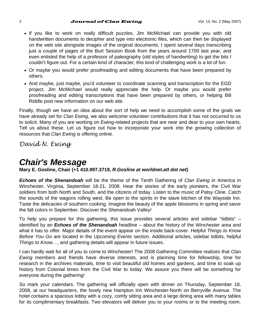### 2 **Journal of Clan Ewing** Vol. 13, No. 2 (May 2007)

- If you like to work on really difficult puzzles, Jim McMichael can provide you with old handwritten documents to decipher and type into electronic files, which can then be displayed on the web site alongside images of the original documents. I spent several days transcribing just a couple of pages of the Burt Session Book from the years around 1700 last year, and even enlisted the help of a professor of paleography (old styles of handwriting) to get the bits I couldn't figure out. For a certain kind of character, this kind of challenging work is a lot of fun.
- Or maybe you would prefer proofreading and editing documents that have been prepared by others.
- And maybe, just maybe, you'd volunteer to coordinate scanning and transcription for the EGD project. Jim McMichael would really appreciate the help. Or maybe you would prefer proofreading and editing transcriptions that have been prepared by others, or helping Bill Riddle post new information on our web site.

Finally, though we have an idea about the sort of help we need to accomplish some of the goals we have already set for *Clan Ewing*, we also welcome volunteer contributions that it has not occurred to us to solicit. Many of you are working on Ewing-related projects that are near and dear to your own hearts. Tell us about these. Let us figure out how to incorporate your work into the growing collection of resources that *Clan Ewing* is offering online.

*David N. Ewing*

# *Chair's Message*

**Mary E. Gosline, Chair (+1 410.997.3719,** *R.Gosline at worldnet.att dot net***)** 

*Echoes of the Shenandoah* will be the theme of the Tenth Gathering of *Clan Ewing in America* in Winchester, Virginia, September 18-21, 2008. Hear the stories of the early pioneers, the Civil War soldiers from both North and South, and the citizens of today. Listen to the music of Patsy Cline. Catch the sounds of the wagons rolling west. Be open to the spirits in the slave kitchen of the Wayside Inn. Taste the delicacies of southern cooking. Imagine the beauty of the apple blossoms in spring and savor the fall colors in September. Discover the Shenandoah Valley!

To help you prepare for this gathering, this issue provides several articles and sidebar "tidbits" – identified by an *Echoes of the Shenandoah* headline – about the history of the Winchester area and what it has to offer. Major details of the event appear on the inside back-cover. Helpful *Things to Know Before You Go* are located in the *Upcoming Events* section. Additional articles, sidebar tidbits, helpful *Things to Know…*, and gathering details will appear in future issues.

I can hardly wait for all of you to come to Winchester! The 2008 Gathering Committee realizes that *Clan Ewing* members and friends have diverse interests, and is planning time for fellowship, time for research in the archives materials, time to visit beautiful old homes and gardens, and time to soak up history from Colonial times from the Civil War to today. We assure you there will be something for everyone during the gathering!

So mark your calendars. The gathering will officially open with dinner on Thursday, September 18, 2008, at our headquarters, the lovely new Hampton Inn Winchester-North on Berryville Avenue. The hotel contains a spacious lobby with a cozy, comfy sitting area and a large dining area with many tables for its complimentary breakfasts. Two elevators will deliver you to your rooms or to the meeting room.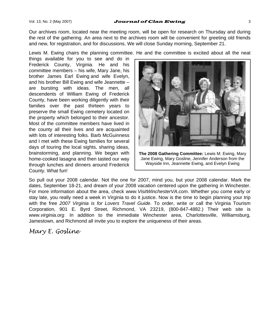### Vol. 13, No. 2 (May 2007) **Journal of Clan Ewing**  $\frac{3}{3}$

Our archives room, located near the meeting room, will be open for research on Thursday and during the rest of the gathering. An area next to the archives room will be convenient for greeting old friends and new, for registration, and for discussions. We will close Sunday morning, September 21.

Lewis M. Ewing chairs the planning committee. He and the committee is excited about all the neat

things available for you to see and do in Frederick County, Virginia. He and his committee members – his wife, Mary Jane, his brother James Earl Ewing and wife Evelyn, and his brother Bill Ewing and wife Jeannette – are bursting with ideas. The men, all descendents of William Ewing of Frederick County, have been working diligently with their families over the past thirteen years to preserve the small Ewing cemetery located on the property which belonged to their ancestor. Most of the committee members have lived in the county all their lives and are acquainted with lots of interesting folks. Barb McGuinness and I met with these Ewing families for several days of touring the local sights, sharing ideas, brainstorming, and planning. We began with home-cooked lasagna and then tasted our way through lunches and dinners around Frederick County. What fun!



**The 2008 Gathering Committee:** Lewis M. Ewing, Mary Jane Ewing, Mary Gosline, Jennifer Anderson from the Wayside Inn, Jeannette Ewing, and Evelyn Ewing

So pull out your 2008 calendar. Not the one for 2007, mind you, but your 2008 calendar. Mark the dates, September 18-21, and dream of your 2008 vacation centered upon the gathering in Winchester. For more information about the area, check *www.VisitWinchesterVA.com*. Whether you come early or stay late, you really need a week in Virginia to do it justice. Now is the time to begin planning your trip with the free *2007 Virginia is for Lovers Travel Guide*. To order, write or call the Virginia Tourism Corporation, 901 E. Byrd Street, Richmond, VA 23219, (800-847-4882.) Their web site is *www.virginia.org*. In addition to the immediate Winchester area, Charlottesville, Williamsburg, Jamestown, and Richmond all invite you to explore the uniqueness of their areas.

# *Mary E. Gosline*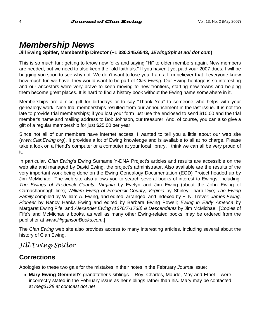# *Membership News*

### **Jill Ewing Spitler, Membership Director (+1 330.345.6543,** *JEwingSpit at aol dot com***)**

This is so much fun: getting to know new folks and saying "Hi" to older members again. New members are needed, but we need to also keep the "old faithfuls." If you haven't yet paid your 2007 dues, I will be bugging you soon to see why not. We don't want to lose you. I am a firm believer that if everyone knew how much fun we have, they would want to be part of *Clan Ewing*. Our Ewing heritage is so interesting and our ancestors were very brave to keep moving to new frontiers, starting new towns and helping them become great places. It is hard to find a history book without the Ewing name somewhere in it.

Memberships are a nice gift for birthdays or to say "Thank You" to someone who helps with your genealogy work. Nine trial memberships resulted from our announcement in the last issue. It is not too late to provide trial memberships; if you lost your form just use the enclosed to send \$10.00 and the trial member's name and mailing address to Bob Johnson, our treasurer. And, of course, you can also give a gift of a regular membership for just \$25.00 per year.

Since not all of our members have internet access, I wanted to tell you a little about our web site (*www.ClanEwing.org*). It provides a lot of Ewing knowledge and is available to all at no charge. Please take a look on a friend's computer or a computer at your local library. I think we can all be very proud of it.

In particular, *Clan Ewing*'s Ewing Surname Y-DNA Project's articles and results are accessible on the web site and managed by David Ewing, the project's administrator. Also available are the results of the very important work being done on the Ewing Genealogy Documentation (EGD) Project headed up by Jim McMichael. The web site also allows you to search several books of interest to Ewings, including: *The Ewings of Frederick County, Virginia* by Evelyn and Jim Ewing (about the John Ewing of Carnashannagh line); *William Ewing of Frederick County, Virginia* by Shirley Tharp Dye; *The Ewing Family* compiled by William A. Ewing, and edited, arranged, and indexed by F. N. Trevor; *James Ewing, Pioneer* by Nancy Hanks Ewing and edited by Barbara Ewing Powell; *Ewing in Early America* by Margaret Ewing Fife; and *Alexander Ewing (1676/7-1738) & Descendants* by Jim McMichael. [Copies of Fife's and McMichael's books, as well as many other Ewing-related books, may be ordered from the publisher at *www.HigginsonBooks.com*.]

The *Clan Ewing* web site also provides access to many interesting articles, including several about the history of Clan Ewing.

# *Jill Ewing Spitler*

# **Corrections**

Apologies to these two gals for the mistakes in their notes in the February *Journal* issue:

• **Mary Ewing Gemmell**'s grandfather's siblings – Roy, Charles, Maude, May and Ethel – were incorrectly stated in the February issue as her siblings rather than his. Mary may be contacted at *meg3128 at comcast dot net*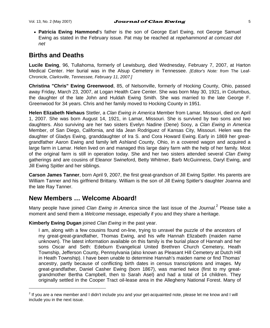• **Patricia Ewing Hammond**'s father is the son of George Earl Ewing, not George Samuel Ewing as stated in the February issue. Pat may be reached at *repehammond at comcast dot net*

### **Births and Deaths**

**Lucile Ewing**, 96, Tullahoma, formerly of Lewisburg, died Wednesday, February 7, 2007, at Harton Medical Center. Her burial was in the Alsup Cemetery in Tennessee. *[Editor's Note: from* The Leaf-Chronicle*, Clarksville, Tennessee, February 11, 2007.]*

**Christina "Chris" Ewing Greenwood**, 85, of Nelsonville, formerly of Hocking County, Ohio, passed away Friday, March 23, 2007, at Logan Health Care Center. She was born May 30, 1921, in Columbus, the daughter of the late John and Huldah Ewing Smith. She was married to the late George F. Greenwood for 34 years. Chris and her family moved to Hocking County in 1951.

**Helen Elizabeth Niehaus** Stetler, a *Clan Ewing in America* Member from Lamar, Missouri, died on April 1, 2007. She was born August 14, 1921, in Lamar, Missouri. She is survived by two sons and two daughters. Also surviving are her two sisters Evelyn Nadine (Dene) Sooy, a *Clan Ewing in America*  Member, of San Diego, California, and Ida Jean Rodriguez of Kansas City, Missouri. Helen was the daughter of Gladys Ewing, granddaughter of Ira S. and Cora Howard Ewing. Early in 1869 her greatgrandfather Aaron Ewing and family left Ashland County, Ohio, in a covered wagon and acquired a large farm in Lamar. Helen lived on and managed this large dairy farm with the help of her family. Most of the original farm is still in operation today. She and her two sisters attended several *Clan Ewing* gatherings and are cousins of Eleanor Swineford, Betty Whitmer, Barb McGuinness, Daryl Ewing, and Jill Ewing Spitler and her siblings.

**Carson James Tanner**, born April 9, 2007, the first great-grandson of Jill Ewing Spitler. His parents are William Tanner and his girlfriend Brittany. William is the son of Jill Ewing Spitler's daughter Joanna and the late Ray Tanner.

# **New Members … Welcome Aboard!**

l

Many people have joined *Clan Ewing in America* since the last issue of the *Journal*. 2 Please take a moment and send them a *Welcome* message, especially if you and they share a heritage.

### **Kimberly Ewing Dugan** joined *Clan Ewing* in the past year.

I am, along with a few cousins found on-line, trying to unravel the puzzle of the ancestors of my great-great-grandfather, Thomas Ewing, and his wife Hannah Elizabeth (maiden name unknown). The latest information available on this family is the burial place of Hannah and her sons Oscar and Seth: Edeburn Evangelical United Brethren Church Cemetery, Heath Township, Jefferson County, Pennsylvania (also known as Pleasant Hill Cemetery at Dutch Hill in Heath Township). I have been unable to determine Hannah's maiden name or find Thomas' ancestry, partly because of conflicting birth dates in census transcriptions and images. My great-grandfather, Daniel Casher Ewing (born 1867), was married twice (first to my greatgrandmother Bertha Campbell, then to Sarah Asel) and had a total of 14 children. They originally settled in the Cooper Tract oil-lease area in the Allegheny National Forest. Many of

<sup>&</sup>lt;sup>2</sup> If you are a new member and I didn't include you and your get-acquainted note, please let me know and I will include you in the next issue.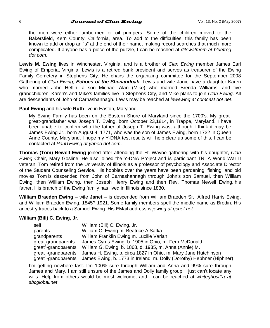### 6 **Journal of Clan Ewing**  $V$ ol. 13, No. 2 (May 2007)

the men were either lumbermen or oil pumpers. Some of the children moved to the Bakersfield, Kern County, California, area. To add to the difficulties, this family has been known to add or drop an "s" at the end of their name, making record searches that much more complicated. If anyone has a piece of the puzzle, I can be reached at *ditswatmom at bluefrog dot com*.

**Lewis M. Ewing** lives in Winchester, Virginia, and is a brother of *Clan Ewing* member James Earl Ewing of Emporia, Virginia. Lewis is a retired bank president and serves as treasurer of the Ewing Family Cemetery in Stephens City. He chairs the organizing committee for the September 2008 Gathering of *Clan Ewing*, *Echoes of the Shenandoah*. Lewis and wife Janie have a daughter Karen who married John Heflin, a son Michael Alan (Mike) who married Brenda Williams, and five grandchildren. Karen's and Mike's families live in Stephens City, and Mike plans to join *Clan Ewing*. All are descendants of John of Carnashannagh. Lewis may be reached at *lewewing at comcast dot net*.

**Paul Ewing** and his wife **Ruth** live in Easton, Maryland.

My Ewing Family has been on the Eastern Shore of Maryland since the 1700's. My greatgreat-grandfather was Joseph T. Ewing, born October 23,1814, in Trappe, Maryland. I have been unable to confirm who the father of Joseph T. Ewing was, although I think it may be James Ewing Jr., born August 4, 1771, who was the son of James Ewing, born 1732 in Queen Anne County, Maryland. I hope my Y-DNA test results will help clear up some of this. I can be contacted at *PaulTEwing at yahoo dot com*.

**Thomas (Tom) Newell Ewing** joined after attending the Ft. Wayne gathering with his daughter, *Clan Ewing* Chair, Mary Gosline. He also joined the Y-DNA Project and is participant TN. A World War II veteran, Tom retired from the University of Illinois as a professor of psychology and Associate Director of the Student Counseling Service. His hobbies over the years have been gardening, fishing, and old movies. Tom is descended from John of Carnashannagh through John's son Samuel, then William Ewing, then William Ewing, then Joseph Henry Ewing and then Rev. Thomas Newell Ewing, his father. His branch of the Ewing family has lived in Illinois since 1830.

**William Braeden Ewing** – wife **Janet** – is descended from William Braeden Sr., Alfred Harris Ewing, and William Braeden Ewing, 1845?-1921. Some family members spell the middle name as Bredin. His ancestry traces back to a Samuel Ewing. His EMail address is *jewing at qcnet.net*.

### **William (Bill) C. Ewing, Jr.**

| self                             | William (Bill) C. Ewing, Jr.                                          |
|----------------------------------|-----------------------------------------------------------------------|
| parents                          | William C. Ewing m. Beatrice A Safka                                  |
| grandparents                     | William Franklin Ewing m. Lucille Varian                              |
| great-grandparents               | James Cyrus Ewing, b. 1905 in Ohio, m. Fern McDonald                  |
| great <sup>2</sup> -grandparents | William G. Ewing, b. 1868, d. 1935, m. Anna (Annie) M.                |
| great <sup>3</sup> -grandparents | James H. Ewing, b. circa 1827 in Ohio, m. Mary Jane Hutchinson        |
| great <sup>+</sup> -grandparents | James Ewing, b. 1773 in Ireland, m. Dolly (Dorothy) Hephner (Hiphner) |

I'm getting nowhere fast. I'm 100% sure through William and Anna and 99% sure through James and Mary. I am still unsure of the James and Dolly family group. I just can't locate any wills. Help from others would be most welcome, and I can be reached at *whiteghost1a at sbcglobal.net*.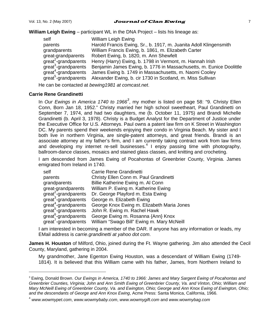**William Leigh Ewing** – participant WL in the DNA Project – lists his lineage as:

| self                             | William Leigh Ewing                                                 |
|----------------------------------|---------------------------------------------------------------------|
| parents                          | Harold Francis Ewing, Sr., b. 1917, m. Juanita Adoll Klingensmith   |
| grandparents                     | William Francis Ewing, b. 1861, m. Elizabeth Carter                 |
| great-grandparents               | Robert Ewing, b. 1820, m. Ann Shewfelt                              |
| great <sup>2</sup> -grandparents | Henry (Harry) Ewing, b. 1798 in Vermont, m. Hannah Irish            |
| great <sup>3</sup> -grandparents | Benjamin James Ewing, b. 1776 in Massachusetts, m. Eunice Doolittle |
| great <sup>4</sup> -grandparents | James Ewing b. 1749 in Massachusetts, m. Naomi Cooley               |
| great <sup>5</sup> -grandparents | Alexander Ewing, b. cir 1730 in Scotland, m. Miss Sullivan          |
|                                  |                                                                     |

He can be contacted at *bewing1981 at comcast.net*.

#### **Carrie Rene Grandinetti**

l

In *Our Ewings in America 1740 to 1966<sup>3</sup>* , my mother is listed on page 58: "9. Christy Ellen Conn, Born Jan 18, 1952." Christy married her high school sweetheart, Paul Grandinetti on September 7, 1974, and had two daughters, me (b. October 11, 1975) and Brandi Michelle Grandinetti (b. April 3, 1978). Christy is a Budget Analyst for the Department of Justice under the Executive Office for U.S. Attorneys. Paul owns a patent law firm on K Street in Washington DC. My parents spend their weekends enjoying their condo in Virginia Beach. My sister and I both live in northern Virginia, are single-patent attorneys, and great friends. Brandi is an associate attorney at my father's firm, and I am currently taking contract work from law firms and developing my internet re-sell businesses. $4$  I enjoy passing time with photography, ballroom-dance classes, mosaics and stained glass classes, and knitting and crocheting.

I am descended from James Ewing of Pocahontas of Greenbrier County, Virginia. James emigrated from Ireland in 1740.

| self                             | Carrie Rene Grandinetti                    |
|----------------------------------|--------------------------------------------|
| parents                          | Christy Ellen Conn m. Paul Grandinetti     |
| grandparents                     | Billie Katherine Ewing m. Al Conn          |
| great-grandparents               | William P. Ewing m. Katherine Ewing        |
| great <sup>2</sup> -grandparents | Dr. George Playford m. Esta Ewing          |
| great <sup>3</sup> -grandparents | George m. Elizabeth Ewing                  |
| great <sup>4</sup> -grandparents | George Knox Ewing m. Elizabeth Maria Jones |
| great <sup>5</sup> -grandparents | John R. Ewing m. Rachel Hawk               |
| great <sup>6</sup> -grandparents | George Ewing m. Rosanna {Ann} Knox         |
| great'-grandparents              | William "Swago Bill" Ewing m. Mary McNeill |

I am interested in becoming a member of the DAR. If anyone has any information or leads, my EMail address is *carrie.grandinetti at yahoo dot com*.

**James H. Houston** of Milford, Ohio, joined during the Ft. Wayne gathering. Jim also attended the Cecil County, Maryland, gathering in 2004.

My grandmother, Jane Egenton Ewing Houston, was a descendant of William Ewing (1749- 1814). It is believed that this William came with his father, James, from Northern Ireland to

<sup>3</sup> Ewing, Donald Brown. *Our Ewings in America, 1740 to 1966: James and Mary Sargent Ewing of Pocahontas and Greenbrier Counties, Virginia; John and Ann Smith Ewing of Greenbrier County, Va. and Vinton, Ohio; William and Mary McNeill Ewing of Greenbrier County, Va. and Ewington, Ohio; George and Ann Knox Ewing of Ewington, Ohio; and the descendants of George and Ann Knox Ewing*, Acme Press: Santa Monica, California, 1966.

<sup>4</sup> *www.wowmypet.com*, *www.wowmybaby.com*, *www.wowmygift.com* and *www.wowmybag.com*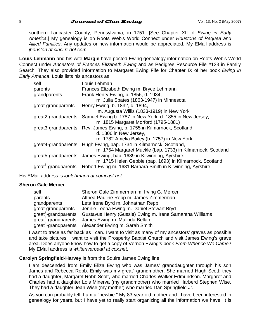southern Lancaster County, Pennsylvania, in 1751. [See Chapter XII of *Ewing in Early America*.] My genealogy is on Roots Web's World Connect under *Houstons of Pequea and Allied Families*. Any updates or new information would be appreciated. My EMail address is *jhouston at cinci.rr dot com*.

**Louis Lehmann** and his wife **Margie** have posted Ewing genealogy information on Roots Web's World Connect under *Ancestors of Frances Elizabeth Ewing* and as Pedigree Resource File #123 in Family Search. They also provided information to Margaret Ewing Fife for Chapter IX of her book *Ewing in Early America*. Louis lists his ancestors as:

| Frances Elizabeth Ewing m. Bryce Lehmann<br>parents<br>Frank Henry Ewing, b. 1856, d. 1934,<br>grandparents<br>m. Julia Spates (1863-1947) in Minnesota<br>Henry Ewing, b. 1832, d. 1894,<br>great-grandparents<br>m. Augusta Willis (1833-1919) in New York<br>Samuel Ewing b. 1787 in New York, d. 1855 in New Jersey,<br>great2-grandparents<br>m. 1815 Margaret Morford (1795-1881)<br>great3-grandparents Rev. James Ewing, b. 1755 in Kilmarnock, Scotland,<br>d. 1806 in New Jersey,<br>m. 1782 Amelia Bailey (b. 1757) in New York<br>Hugh Ewing, bap. 1734 in Kilmarnock, Scotland,<br>great4-grandparents<br>m. 1754 Margaret Muckle (bap. 1733) in Kilmarnock, Scotland<br>James Ewing, bap. 1689 in Kilwinning, Ayrshire,<br>great5-grandparents<br>m. 1715 Helen Gebbie (bap. 1693) in Kilmarnock, Scotland<br>great <sup>o</sup> -grandparents<br>Robert Ewing m. 1681 Barbara Smith in Kilwinning, Ayrshire | self | Louis Lehman |
|----------------------------------------------------------------------------------------------------------------------------------------------------------------------------------------------------------------------------------------------------------------------------------------------------------------------------------------------------------------------------------------------------------------------------------------------------------------------------------------------------------------------------------------------------------------------------------------------------------------------------------------------------------------------------------------------------------------------------------------------------------------------------------------------------------------------------------------------------------------------------------------------------------------------------|------|--------------|
|                                                                                                                                                                                                                                                                                                                                                                                                                                                                                                                                                                                                                                                                                                                                                                                                                                                                                                                            |      |              |
|                                                                                                                                                                                                                                                                                                                                                                                                                                                                                                                                                                                                                                                                                                                                                                                                                                                                                                                            |      |              |
|                                                                                                                                                                                                                                                                                                                                                                                                                                                                                                                                                                                                                                                                                                                                                                                                                                                                                                                            |      |              |
|                                                                                                                                                                                                                                                                                                                                                                                                                                                                                                                                                                                                                                                                                                                                                                                                                                                                                                                            |      |              |
|                                                                                                                                                                                                                                                                                                                                                                                                                                                                                                                                                                                                                                                                                                                                                                                                                                                                                                                            |      |              |
|                                                                                                                                                                                                                                                                                                                                                                                                                                                                                                                                                                                                                                                                                                                                                                                                                                                                                                                            |      |              |
|                                                                                                                                                                                                                                                                                                                                                                                                                                                                                                                                                                                                                                                                                                                                                                                                                                                                                                                            |      |              |
|                                                                                                                                                                                                                                                                                                                                                                                                                                                                                                                                                                                                                                                                                                                                                                                                                                                                                                                            |      |              |

His EMail address is *loulehmann at comcast.net*.

### **Sheron Gale Mercer**

| self                             | Sheron Gale Zimmerman m. Irving G. Mercer                       |
|----------------------------------|-----------------------------------------------------------------|
| parents                          | Althea Pauline Repp m. James Zimmerman                          |
| grandparents                     | Leta Irene Byrd m. Johnathan Repp                               |
| great-grandparents               | Jennie Leona Ewing m. Daniel Stewart Bryd                       |
| great <sup>2</sup> -grandparents | Gustavus Henry (Gussie) Ewing m. Irene Samantha Williams        |
| great <sup>3</sup> -grandparents | James Ewing m. Malinda Bellah                                   |
|                                  | great <sup>4</sup> -grandparents Alexander Ewing m. Sarah Smith |

I want to trace as far back as I can. I want to visit as many of my ancestors' graves as possible and take pictures. I want to visit the Prosperity Baptist Church and visit James Ewing's grave area. Does anyone know how to get a copy of Vernon Ewing's book *From Whence We Came*? My EMail address is *whiteriverpearl at cox.net*.

### **Carolyn Springfield-Harvey** is from the Squire James Ewing line.

I am descended from Emily Eliza Ewing who was James' granddaughter through his son James and Rebecca Robb. Emily was my great<sup>2</sup>-grandmother. She married Hugh Scott; they had a daughter, Margaret Robb Scott, who married Charles Walker Edmundson. Margaret and Charles had a daughter Lois Minerva (my grandmother) who married Harberd Stephen Wise. They had a daughter Jean Wise (my mother) who married Dan Springfield Jr.

As you can probably tell, I am a "newbie." My 83-year old mother and I have been interested in genealogy for years, but I have yet to really start organizing all the information we have. It is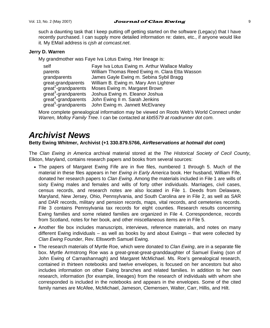such a daunting task that I keep putting off getting started on the software (Legacy) that I have recently purchased. I can supply more detailed information re: dates, etc., if anyone would like it. My EMail address is *cjsh at comcast.net*.

### **Jerry D. Warren**

My grandmother was Faye Iva Lotus Ewing. Her lineage is:

| self                             | Faye Iva Lotus Ewing m. Arthur Wallace Malloy  |
|----------------------------------|------------------------------------------------|
| parents                          | William Thomas Reed Ewing m. Clara Etta Wasson |
| grandparents                     | James Gayle Ewing m. Sebina Sybil Bragg        |
| great-grandparents               | William B. Ewing m. Mary Ann Lightner          |
| great <sup>2</sup> -grandparents | Moses Ewing m. Margaret Brown                  |
| great <sup>3</sup> -grandparents | Joshua Ewing m. Eleanor Joshua                 |
| great <sup>4</sup> -grandparents | John Ewing II m. Sarah Jenkins                 |
| great <sup>5</sup> -grandparents | John Ewing m. Jannett McElvaney                |

More complete genealogical information may be viewed on Roots Web's World Connect under *Warren, Molloy Family Tree*. I can be contacted at *kbt5579 at roadrunner dot com*.

# *Archivist News*

### **Betty Ewing Whitmer, Archivist (+1 330.879.5766,** *AirReservations at hotmail dot com***)**

The *Clan Ewing in America* archival material stored at the *The Historical Society of Cecil County*, Elkton, Maryland, contains research papers and books from several sources:

- The papers of Margaret Ewing Fife are in five files, numbered 1 through 5. Much of the material in these files appears in her *Ewing in Early America* book. Her husband, William Fife, donated her research papers to *Clan Ewing*. Among the materials included in File 1 are wills of sixty Ewing males and females and wills of forty other individuals. Marriages, civil cases, census records, and research notes are also located in File 1. Deeds from Delaware, Maryland, New Jersey, Ohio, Pennsylvania, and South Carolina are in File 2, as well as SAR and DAR records, military and pension records, maps, vital records, and cemeteries records. File 3 contains Pennsylvania tax records for eight counties. Research results concerning Ewing families and some related families are organized in File 4. Correspondence, records from Scotland, notes for her book, and other miscellaneous items are in File 5.
- Another file box includes manuscripts, interviews, reference materials, and notes on many different Ewing individuals – as well as books by and about Ewings – that were collected by *Clan Ewing* Founder, Rev. Ellsworth Samuel Ewing.
- The research materials of Myrtle Roe, which were donated to *Clan Ewing*, are in a separate file box. Myrtle Armstrong Roe was a great-great-great-granddaughter of Samuel Ewing (son of John Ewing of Carnashannagh) and Margaret McMichael. Ms. Roe's genealogical research, contained in thirteen notebooks and twelve envelopes, is focused on her ancestors but also includes information on other Ewing branches and related families. In addition to her own research, information (for example, lineages) from the research of individuals with whom she corresponded is included in the notebooks and appears in the envelopes. Some of the cited family names are McAfee, McMichael, Jameson, Clemensen, Walter, Carr, Hillis, and Hilt.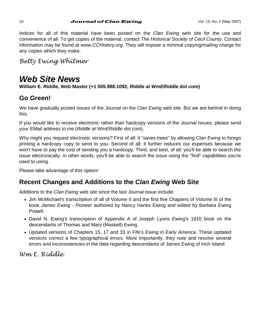Indices for all of this material have been posted on the *Clan Ewing* web site for the use and convenience of all. To get copies of the material, contact *The Historical Society of Cecil County*. Contact information may be found at *www.CCHistory.org*. They will impose a minimal copying/mailing charge for any copies which they make.

*Betty Ewing Whitmer* 

# *Web Site News*

**William E. Riddle, Web Master (+1 505.988.1092,** *Riddle at WmERiddle dot com***)** 

# **Go Green!**

We have gradually posted issues of the *Journal* on the *Clan Ewing* web site. But we are behind in doing this.

If you would like to receive electronic rather than hardcopy versions of the *Journal* issues, please send your EMail address to me (*Riddle at WmERiddle dot com*).

Why might you request electronic versions? First of all: it "saves trees" by allowing *Clan Ewing* to forego printing a hardcopy copy to send to you. Second of all: it further reduces our expenses because we won't have to pay the cost of sending you a hardcopy. Third, and best, of all: you'll be able to search the issue electronically. In other words, you'll be able to search the issue using the "find" capabilities you're used to using.

Please take advantage of this option!

# **Recent Changes and Additions to the** *Clan Ewing* **Web Site**

Additions to the *Clan Ewing* web site since the last *Journal* issue include:

- Jim McMichael's transcription of all of Volume II and the first five Chapters of Volume III of the book *James Ewing - Pioneer* authored by Nancy Hanks Ewing and edited by Barbara Ewing Powell.
- David N. Ewing's transcription of Appendix A of Joseph Lyons Ewing's 1910 book on the descendants of Thomas and Mary (Maskell) Ewing.
- Updated versions of Chapters 15, 17 and 33 in Fife's *Ewing in Early America*. These updated versions correct a few typographical errors. More importantly, they note and resolve several errors and inconsistencies in the data regarding descendants of James Ewing of Inch Island.

*Wm E. Riddle*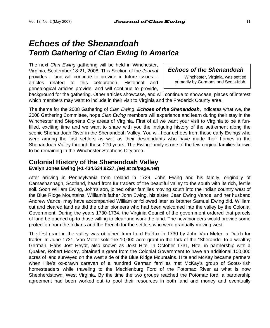# *Echoes of the Shenandoah Tenth Gathering of Clan Ewing in America*

The next *Clan Ewing* gathering will be held in Winchester, Virginia, September 18-21, 2008. This Section of the *Journal* provides – and will continue to provide in future issues – articles related to this celebration. Historical and genealogical articles provide, and will continue to provide,

### *Echoes of the Shenandoah*

Winchester, Virginia, was settled primarily by Germans and Scots-Irish.

background for the gathering. Other articles showcase, and will continue to showcase, places of interest which members may want to include in their visit to Virginia and the Frederick County area.

The theme for the 2008 Gathering of *Clan Ewing*, *Echoes of the Shenandoah*, indicates what we, the 2008 Gathering Committee, hope *Clan Ewing* members will experience and learn during their stay in the Winchester and Stephens City areas of Virginia. First of all we want your visit to Virginia to be a funfilled, exciting time and we want to share with you the intriguing history of the settlement along the scenic Shenandoah River in the Shenandoah Valley. You will hear echoes from those early Ewings who were among the first settlers as well as their descendants who have made their homes in the Shenandoah Valley through these 270 years. The Ewing family is one of the few original families known to be remaining in the Winchester-Stephens City area.

### **Colonial History of the Shenandoah Valley Evelyn Jones Ewing (+1 434.634.9227,** *jeej at telpage.net***)**

After arriving in Pennsylvania from Ireland in 1729, John Ewing and his family, originally of Carnashannagh, Scotland, heard from fur traders of the beautiful valley to the south with its rich, fertile soil. Soon William Ewing, John's son, joined other families moving south into the Indian country west of the Blue Ridge Mountains. William's father John Ewing, his sister, Jean Ewing Vance, and her husband Andrew Vance, may have accompanied William or followed later as brother Samuel Ewing did. William cut and cleared land as did the other pioneers who had been welcomed into the valley by the Colonial Government. During the years 1730-1734, the Virginia Council of the government ordered that parcels of land be opened up to those willing to clear and work the land. The new pioneers would provide some protection from the Indians and the French for the settlers who were gradually moving west.

The first grant in the valley was obtained from Lord Fairfax in 1730 by John Van Meter, a Dutch fur trader. In June 1731, Van Meter sold the 10,000 acre grant in the fork of the "Sherando" to a wealthy German, Hans Jost Heydt, also known as Joist Hite. In October 1731, Hite, in partnership with a Quaker, Robert McKay, obtained a grant from the Colonial Government to have an additional 100,000 acres of land surveyed on the west side of the Blue Ridge Mountains. Hite and McKay became partners when Hite's ox-drawn caravan of a hundred German families met McKay's group of Scots-Irish homesteaders while traveling to the Mecklenburg Ford of the Potomac River at what is now Shepherdstown, West Virginia. By the time the two groups reached the Potomac ford, a partnership agreement had been worked out to pool their resources in both land and money and eventually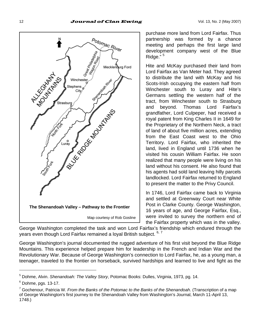

purchase more land from Lord Fairfax. Thus partnership was formed by a chance meeting and perhaps the first large land development company west of the Blue Ridge."<sup>5</sup>

Hite and McKay purchased their land from Lord Fairfax as Van Meter had. They agreed to distribute the land with McKay and his Scots-Irish occupying the eastern half from Winchester south to Luray and Hite's Germans settling the western half of the tract, from Winchester south to Strasburg and beyond. Thomas Lord Fairfax's grandfather, Lord Culpeper, had received a royal patent from King Charles II in 1649 for the Proprietary of the Northern Neck, a tract of land of about five million acres, extending from the East Coast west to the Ohio Territory. Lord Fairfax, who inherited the land, lived in England until 1736 when he visited his cousin William Fairfax. He soon realized that many people were living on his land without his consent. He also found that his agents had sold land leaving hilly parcels landlocked. Lord Fairfax returned to England to present the matter to the Privy Council.

In 1746, Lord Fairfax came back to Virginia and settled at Greenway Court near White Post in Clarke County. George Washington, 16 years of age, and George Fairfax, Esq., were invited to survey the northern end of the Fairfax property which was in the valley.

George Washington completed the task and won Lord Fairfax's friendship which endured through the years even though Lord Fairfax remained a loyal British subject. 6, 7

George Washington's journal documented the rugged adventure of his first visit beyond the Blue Ridge Mountains. This experience helped prepare him for leadership in the French and Indian War and the Revolutionary War. Because of George Washington's connection to Lord Fairfax, he, as a young man, a teenager, traveled to the frontier on horseback, survived hardships and learned to live and fight as the

<sup>5</sup> Dohme, Alvin. *Shenandoah: The Valley Story*, Potomac Books: Dulles, Virginia, 1973, pg. 14.

 $6$  Dohme, pgs. 13-17.

<sup>7</sup> Gochenour, Patricia W. *From the Banks of the Potomac to the Banks of the Shenandoah*. (Transcription of a map of George Washington's first journey to the Shenandoah Valley from Washington's Journal, March 11-April 13, 1748.)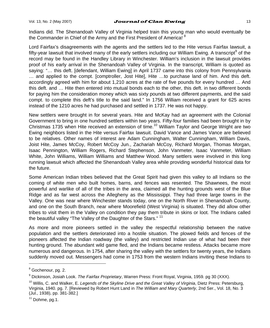#### Vol. 13, No. 2 (May 2007) **Journal of Clan Ewing**  $\frac{1}{3}$

Indians did. The Shenandoah Valley of Virginia helped train this young man who would eventually be the Commander in Chief of the Army and the First President of America!<sup>8</sup>

Lord Fairfax's disagreements with the agents and the settlers led to the Hite versus Fairfax lawsuit, a fifty-year lawsuit that involved many of the early settlers including our William Ewing. A transcript<sup>9</sup> of the record may be found in the Handley Library in Winchester. William's inclusion in the lawsuit provides proof of his early arrival in the Shenandoah Valley of Virginia. In the transcript, William is quoted as saying: "… this deft. [defendant, William Ewing] in April 1737 came into this colony from Pennsylvania … and applied to the compt. [comptroller, Jost Hite], Hite …to purchase land of him. And this deft. accordingly agreed with him for about 1,210 acres at the rate of five pounds for every hundred … And this deft. and … Hite then entered into mutual bonds each to the other, this deft. in two different bonds for paying him the consideration money which was sixty pounds at two different payments, and the said compt. to complete this deft's title to the said land." In 1756 William received a grant for 625 acres instead of the 1210 acres he had purchased and settled in 1737. He was not happy.

New settlers were brought in for several years. Hite and McKay had an agreement with the Colonial Government to bring in one hundred settlers within two years. Fifty-four families had been brought in by Christmas 1735 when Hite received an extension of time.<sup>10</sup> William Taylor and George Wright are two Ewing neighbors listed in the Hite versus Fairfax lawsuit. David Vance and James Vance are believed to be relatives. Other names of interest are Adam Cunningham, Walter Cunningham, William Davis, Joist Hite, James McCoy, Robert McCoy Jun., Zachariah McCoy, Richard Morgan, Thomas Morgan, Isaac Pennington, William Rogers, Richard Stephenson, John Vanmeter, Isaac Vanmeter, William White, John Williams, William Williams and Matthew Wood. Many settlers were involved in this long running lawsuit which affected the Shenandoah Valley area while providing wonderful historical data for the future.

Some American Indian tribes believed that the Great Spirit had given this valley to all Indians so the coming of white men who built homes, barns, and fences was resented. The Shawnees, the most powerful and warlike of all of the tribes in the area, claimed all the hunting grounds west of the Blue Ridge and as far west across the Allegheny as the Mississippi. They had three large towns in the Valley. One was near where Winchester stands today, one on the North River in Shenandoah County, and one on the South Branch, near where Moorefield (West Virginia) is situated. They did allow other tribes to visit them in the Valley on condition they pay them tribute in skins or loot. The Indians called the beautiful valley "The Valley of the Daughter of the Stars." <sup>11</sup>

As more and more pioneers settled in the valley the respectful relationship between the native population and the settlers deteriorated into a hostile situation. The plowed fields and fences of the pioneers affected the Indian roadway (the valley) and restricted Indian use of what had been their hunting ground. The abundant wild game fled, and the Indians became restless. Attacks became more numerous and dangerous. In 1754, after sharing the valley with the settlers for twenty years, the Indians suddenly moved out. Messengers had come in 1753 from the western Indians inviting these Indians to

<sup>&</sup>lt;sup>8</sup> Gochenour, pg. 2.

<sup>9</sup> Dickinson, Josiah Look. *The Fairfax Proprietary*, Warren Press: Front Royal, Virginia, 1959. pg 30 (XXX).

<sup>10</sup> Willis, C. and Walker, E. *Legends of the Skyline Drive and the Great Valley of Virginia*, Dietz Press: Petersburg, Virginia, 1940. pg. 7. [Reviewed by Robert Hunt Land in *The William and Mary Quarterly*, 2nd Ser., Vol. 18, No. 3 (Jul., 1938), pp. 381-382.]

 $11$  Dohme, pg.1.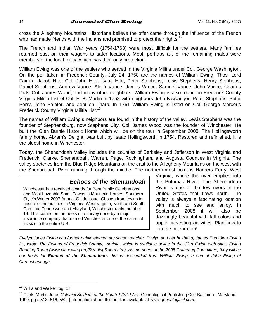#### 14 **Journal of Clan Ewing**  $V$ ol. 13, No. 2 (May 2007)

cross the Alleghany Mountains. Historians believe the offer came through the influence of the French who had made friends with the Indians and promised to protect their rights.<sup>12</sup>

The French and Indian War years (1754-1763) were most difficult for the settlers. Many families returned east on their wagons to safer locations. Most, perhaps all, of the remaining males were members of the local militia which was their only protection.

William Ewing was one of the settlers who served in the Virginia Militia under Col. George Washington. On the poll taken in Frederick County, July 24, 1758 are the names of William Ewing, Thos. Lord Fairfax, Jacob Hite, Col. John Hite, Isaac Hite, Peter Stephens, Lewis Stephens, Henry Stephens, Daniel Stephens, Andrew Vance, Alex'r Vance, James Vance, Samuel Vance, John Vance, Charles Dick, Col. James Wood, and many other neighbors. William Ewing is also found on Frederick County Virginia Militia List of Col. F. B. Martin in 1758 with neighbors John Niswanger, Peter Stephens, Peter Perry, John Painter, and Zebulon Tharp. In 1761 William Ewing is listed on Col. George Mercer's Frederick County Virginia Militia List.<sup>13</sup>

The names of William Ewing's neighbors are found in the history of the valley. Lewis Stephens was the founder of Stephensburg, now Stephens City. Col. James Wood was the founder of Winchester. He built the Glen Burnie Historic Home which will be on the tour in September 2008. The Hollingsworth family home, Abram's Delight, was built by Isaac Hollingsworth in 1754. Restored and refinished, it is the oldest home in Winchester.

Today, the Shenandoah Valley includes the counties of Berkeley and Jefferson in West Virginia and Frederick, Clarke, Shenandoah, Warren, Page, Rockingham, and Augusta Counties in Virginia. The valley stretches from the Blue Ridge Mountains on the east to the Allegheny Mountains on the west with the Shenandoah River running through the middle. The northern-most point is Harpers Ferry, West

### *Echoes of the Shenandoah*

Winchester has received awards for Best Public Celebrations and Most Loveable Small Towns in Mountain Homes, Southern Style's Winter 2007 Annual Guide issue. Chosen from towns in upscale communities in Virginia, West Virginia, North and South Carolina, Tennessee and Maryland, Winchester ranks number 14. This comes on the heels of a survey done by a major insurance company that named Winchester one of the safest of its size in the entire U.S.

Virginia, where the river empties into the Potomac River. The Shenandoah River is one of the few rivers in the United States that flows north. The valley is always a fascinating location with much to see and enjoy. In September 2008 it will also be dazzlingly beautiful with fall colors and apple harvesting activities. Plan now to join the celebration!

*Evelyn Jones Ewing is a former public elementary school teacher. Evelyn and her husband, James Earl (Jim) Ewing Jr., wrote The Ewings of Frederick County, Virginia, which is available online in the Clan Ewing web site's Ewing Reading Room (www.clanewing.org/ReadingRoom.htm). As members of the 2008 Gathering Committee, they will be our hosts for Echoes of the Shenandoah*. *Jim is descended from William Ewing, a son of John Ewing of Carnashannagh.* 

<sup>&</sup>lt;sup>12</sup> Willis and Walker, pg. 17.

<sup>13</sup> Clark, Murtie June. *Colonial Soldiers of the South 1732-1774*, Genealogical Publishing Co.: Baltimore, Maryland, 1999, pgs. 513, 516, 552. [Information about this book is available at *www.genealogical.com*.]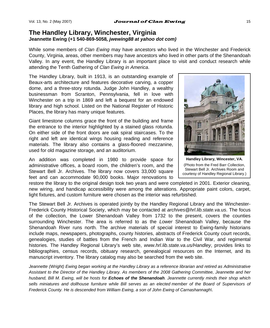### **The Handley Library, Winchester, Virginia Jeannette Ewing (+1 540-869-5058***, jwewing88 at yahoo dot com)*

While some members of *Clan Ewing* may have ancestors who lived in the Winchester and Frederick County, Virginia, areas, other members may have ancestors who lived in other parts of the Shenandoah Valley. In any event, the Handley Library is an important place to visit and conduct research while attending the Tenth Gathering of *Clan Ewing in America*.

The Handley Library, built in 1913, is an outstanding example of Beaux-arts architecture and features decorative carving, a copper dome, and a three-story rotunda. Judge John Handley, a wealthy businessman from Scranton, Pennsylvania, fell in love with Winchester on a trip in 1869 and left a bequest for an endowed library and high school. Listed on the National Register of Historic Places, the library has many unique features.

Giant limestone columns grace the front of the building and frame the entrance to the interior highlighted by a stained glass rotunda. On either side of the front doors are oak spiral staircases. To the right and left are identical wings housing reading and reference materials. The library also contains a glass-floored mezzanine, used for old magazine storage, and an auditorium.

An addition was completed in 1980 to provide space for administrative offices, a board room, the children's room, and the Stewart Bell Jr. Archives. The library now covers 33,000 square feet and can accommodate 90,000 books. Major renovations to

**Handley Library, Wincester, VA.** 

(Photo from the Fred Barr Collection, Stewart Bell Jr. Archives Room and courtesy of Handley Regional Library.)

restore the library to the original design took two years and were completed in 2001. Exterior cleaning, new wiring, and handicap accessibility were among the alterations. Appropriate paint colors, carpet, light fixtures, and custom furniture were chosen as the interior was refurbished.

The Stewart Bell Jr. Archives is operated jointly by the Handley Regional Library and the Winchester-Frederick County Historical Society, which may be contacted at *archives@hrl.lib.state.va.us*. The focus of the collection, the Lower Shenandoah Valley from 1732 to the present, covers the counties surrounding Winchester. The area is referred to as the *Lower* Shenandoah Valley, because the Shenandoah River runs north. The archive materials of special interest to Ewing-family historians include maps, newspapers, photographs, county histories, abstracts of Frederick County court records, genealogies, studies of battles from the French and Indian War to the Civil War, and regimental histories. The Handley Regional Library's web site, *www.hrl.lib.state.va.us/Handley*, provides links to bibliographies, census records, obituary research, genealogical resources on the Internet, and its manuscript inventory. The library catalog may also be searched from the web site.

Jeannette (Wright) Ewing began working at the Handley Library as a reference librarian and retired as Administrative *Assistant to the Director of the Handley Library. As members of the 2008 Gathering Committee, Jeannette and her husband, Bill M. Ewing, will be hosts for Echoes of the Shenandoah. Jeannette currently minds their shop which*  sells miniatures and dollhouse furniture while Bill serves as an elected member of the Board of Supervisors of *Frederick County. He is descended from William Ewing, a son of John Ewing of Carnashannagh\.*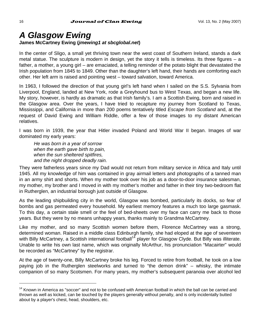# *A Glasgow Ewing*  **James McCartney Ewing (***jmewing1 at sbcglobal.net***)**

In the center of Sligo, a small yet thriving town near the west coast of Southern Ireland, stands a dark metal statue. The sculpture is modern in design, yet the story it tells is timeless. Its three figures – a father, a mother, a young girl – are emaciated, a telling reminder of the potato blight that devastated the Irish population from 1845 to 1849. Other than the daughter's left hand, their hands are comforting each other. Her left arm is raised and pointing west – toward salvation, toward America.

In 1963, I followed the direction of that young girl's left hand when I sailed on the S.S. Sylvania from Liverpool, England, landed at New York, rode a Greyhound bus to West Texas, and began a new life. My story, however, is hardly as dramatic as that Irish family's. I am a Scottish Ewing, born and raised in the Glasgow area. Over the years, I have tried to recapture my journey from Scotland to Texas, Mississippi, and California in more than 200 poems tentatively titled *Escape from Scotland* and, at the request of David Ewing and William Riddle, offer a few of those images to my distant American relatives.

I was born in 1939, the year that Hitler invaded Poland and World War II began. Images of war dominated my early years:

*He was born in a year of sorrow when the earth gave birth to pain, when the sun sheltered spitfires, and the night dropped deadly rain.* 

They were fatherless years since my Dad would not return from military service in Africa and Italy until 1945. All my knowledge of him was contained in gray airmail letters and photographs of a tanned man in an army shirt and shorts. When my mother took over his job as a door-to-door insurance salesman, my mother, my brother and I moved in with my mother's mother and father in their tiny two-bedroom flat in Rutherglen, an industrial borough just outside of Glasgow.

As the leading shipbuilding city in the world, Glasgow was bombed, particularly its docks, so fear of bombs and gas permeated every household. My earliest memory features a much too large gasmask. To this day, a certain stale smell or the feel of bed-sheets over my face can carry me back to those years. But they were by no means unhappy years, thanks mainly to Grandma McCartney.

Like my mother, and so many Scottish women before them, Florence McCartney was a strong, determined woman. Raised in a middle class Edinburgh family, she had eloped at the age of seventeen with Billy McCartney, a Scottish international football<sup>14</sup> player for Glasgow Clyde. But Billy was illiterate. Unable to write his own last name, which was originally McArthur, his pronunciation "Macairter" would be recorded as "McCartney" by the registrar.

At the age of twenty-one, Billy McCartney broke his leg. Forced to retire from football, he took on a low paying job in the Rutherglen steelworks and turned to "the demon drink" – whisky, the intimate companion of so many Scotsmen. For many years, my mother's subsequent paranoia over alcohol led

 $14$  Known in America as "soccer" and not to be confused with American football in which the ball can be carried and thrown as well as kicked, can be touched by the players generally without penalty, and is only incidentally butted about by a player's chest, head, shoulders, etc.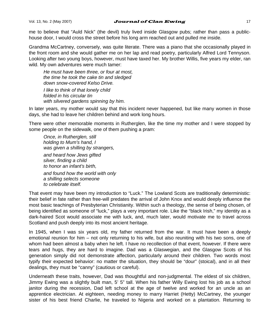### Vol. 13, No. 2 (May 2007) **Journal of Clan Ewing**  $\frac{1}{2}$  17

me to believe that "Auld Nick" (the devil) truly lived inside Glasgow pubs; rather than pass a publichouse door, I would cross the street before his long arm reached out and pulled me inside.

Grandma McCartney, conversely, was quite literate. There was a piano that she occasionally played in the front room and she would gather me on her lap and read poetry, particularly Alfred Lord Tennyson. Looking after two young boys, however, must have taxed her. My brother Willis, five years my elder, ran wild. My own adventures were much tamer:

*He must have been three, or four at most, the time he took the cake tin and sledged down snow-covered Kelso Drive. I like to think of that lonely child folded in his circular tin with silvered gardens spinning by him.* 

In later years, my mother would say that this incident never happened, but like many women in those days, she had to leave her children behind and work long hours.

There were other memorable moments in Rutherglen, like the time my mother and I were stopped by some people on the sidewalk, one of them pushing a pram:

*Once, in Rutherglen, still holding to Mum's hand, I was given a shilling by strangers, and heard how Jews gifted silver, finding a child to honor an infant's birth, and found how the world with only a shilling selects someone to celebrate itself.* 

That event may have been my introduction to "Luck." The Lowland Scots are traditionally deterministic: their belief in fate rather than free-will predates the arrival of John Knox and would deeply influence the most basic teachings of Presbyterian Christianity. Within such a theology, the sense of being chosen, of being identified as someone of "luck," plays a very important role. Like the "black Irish," my identity as a dark-haired Scot would associate me with luck, and, much later, would motivate me to travel across Scotland and push deeply into its most ancient heritage.

In 1945, when I was six years old, my father returned from the war. It must have been a deeply emotional reunion for him – not only returning to his wife, but also reuniting with his two sons, one of whom had been almost a baby when he left. I have no recollection of that event, however. If there were tears and hugs, they are hard to imagine. Dad was a Glaswegian, and the Glasgow Scots of his generation simply did not demonstrate affection, particularly around their children. Two words most typify their expected behavior: no matter the situation, they should be "dour" (stoical), and in all their dealings, they must be "canny" (cautious or careful).

Underneath these traits, however, Dad was thoughtful and non-judgmental. The eldest of six children, Jimmy Ewing was a slightly built man, 5' 5" tall. When his father Willy Ewing lost his job as a school janitor during the recession, Dad left school at the age of twelve and worked for an uncle as an apprentice electrician. At eighteen, needing money to marry Harriet (Hetty) McCartney, the younger sister of his best friend Charlie, he traveled to Nigeria and worked on a plantation. Returning to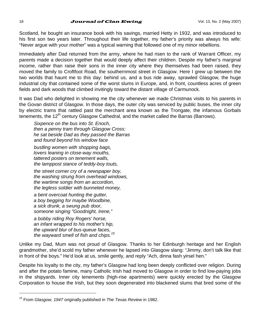#### 18 **Journal of Clan Ewing**  $V$ ol. 13, No. 2 (May 2007)

Scotland, he bought an insurance book with his savings, married Hetty in 1932, and was introduced to his first son two years later. Throughout their life together, my father's priority was always his wife: "Never argue with your mother" was a typical warning that followed one of my minor rebellions.

Immediately after Dad returned from the army, where he had risen to the rank of Warrant Officer, my parents made a decision together that would deeply affect their children. Despite my father's marginal income, rather than raise their sons in the inner city where they themselves had been raised, they moved the family to Croftfoot Road, the southernmost street in Glasgow. Here I grew up between the two worlds that haunt me to this day: behind us, and a bus ride away, sprawled Glasgow, the huge industrial city that contained some of the worst slums in Europe, and, in front, countless acres of green fields and dark woods that climbed invitingly toward the distant village of Carmunock.

It was Dad who delighted in showing me the city whenever we made Christmas visits to his parents in the Govan district of Glasgow. In those days, the outer city was serviced by public buses, the inner city by electric trams that rattled past the merchant area known as the Trongate, the infamous Gorbals tenements, the 12<sup>th</sup> century Glasgow Cathedral, and the market called the Barras (Barrows).

*Sixpence on the bus into St. Enoch, then a penny tram through Glasgow Cross: he sat beside Dad as they passed the Barras and found beyond his window face* 

*bustling women with shopping bags, lovers leaning in close-way mouths, tattered posters on tenement walls, the lamppost stance of teddy-boy touts,* 

*the street corner cry of a newspaper boy, the washing strung from overhead windows, the wartime songs from an accordion, the legless soldier with bunneted money,* 

*a bent overcoat hunting the gutter, a boy begging for maybe Woodbine, a sick drunk, a swung pub door, someone singing "Goodnight, Irene,"* 

*a bobby riding Roy Rogers' horse, an infant wrapped to his mother's hip, the upward blur of bus-queue faces, the wayward smell of fish and chips.<sup>15</sup>*

Unlike my Dad, Mum was not proud of Glasgow. Thanks to her Edinburgh heritage and her English grandmother, she'd scold my father whenever he lapsed into Glasgow slang: "Jimmy, don't talk like that in front of the boys." He'd look at us, smile gently, and reply "Ach, dinna fash yirsel hen."

Despite his loyalty to the city, my father's Glasgow had long been deeply conflicted over religion. During and after the potato famine, many Catholic Irish had moved to Glasgow in order to find low-paying jobs in the shipyards. Inner city tenements (high-rise apartments) were quickly erected by the Glasgow Corporation to house the Irish, but they soon degenerated into blackened slums that bred some of the

<sup>15</sup> From *Glasgow, 1947* originally published in *The Texas Review* in 1982.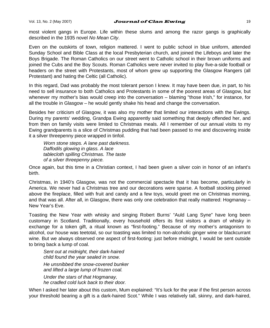#### Vol. 13, No. 2 (May 2007)  $Journal$  of Clan Ewing  $19$

most violent gangs in Europe. Life within these slums and among the razor gangs is graphically described in the 1935 novel *No Mean City*.

Even on the outskirts of town, religion mattered. I went to public school in blue uniform, attended Sunday School and Bible Class at the local Presbyterian church, and joined the Lifeboys and later the Boys Brigade. The Roman Catholics on our street went to Catholic school in their brown uniforms and joined the Cubs and the Boy Scouts. Roman Catholics were never invited to play five-a-side football or headers on the street with Protestants, most of whom grew up supporting the Glasgow Rangers (all Protestant) and hating the Celtic (all Catholic).

In this regard, Dad was probably the most tolerant person I knew. It may have been due, in part, to his need to sell insurance to both Catholics and Protestants in some of the poorest areas of Glasgow, but whenever my mother's bias would creep into the conversation – blaming "those Irish," for instance, for all the trouble in Glasgow – he would gently shake his head and change the conversation.

Besides her criticism of Glasgow, it was also my mother that limited our interactions with the Ewings. During my parents' wedding, Grandpa Ewing apparently said something that deeply offended her, and from then on family visits were limited to Christmas meals. All I remember of our annual visits to my Ewing grandparents is a slice of Christmas pudding that had been passed to me and discovering inside it a silver threepenny piece wrapped in tinfoil.

*Worn stone steps. A lane past darkness. Daffodils glowing in glass. A lace tablecloth spilling Christmas. The taste of a silver threepenny piece.* 

Once again, but this time in a Christian context, I had been given a silver coin in honor of an infant's birth.

Christmas, in 1940's Glasgow, was not the commercial spectacle that it has become, particularly in America. We never had a Christmas tree and our decorations were sparse. A football stocking pinned above the fireplace, filled with fruit and candy and a few toys, would greet me on Christmas morning, and that was all. After all, in Glasgow, there was only one celebration that really mattered: Hogmanay – New Year's Eve.

Toasting the New Year with whisky and singing Robert Burns' "Auld Lang Syne" have long been customary in Scotland. Traditionally, every household offers its first visitors a dram of whisky in exchange for a token gift, a ritual known as "first-footing." Because of my mother's antagonism to alcohol, our house was teetotal, so our toasting was limited to non-alcoholic ginger wine or blackcurrant wine. But we always observed one aspect of first-footing: just before midnight, I would be sent outside to bring back a lump of coal.

*Sent out at midnight, their dark-haired child found the year sealed in snow. He unsnibbed the snow-covered bunker and lifted a large lump of frozen coal. Under the stars of that Hogmanay, he cradled cold luck back to their door.* 

When I asked her later about this custom, Mum explained: "It's luck for the year if the first person across your threshold bearing a gift is a dark-haired Scot." While I was relatively tall, skinny, and dark-haired,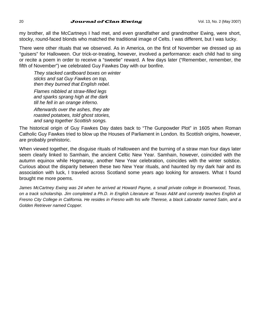#### 20 **Journal of Clan Ewing**  $V$ ol. 13, No. 2 (May 2007)

my brother, all the McCartneys I had met, and even grandfather and grandmother Ewing, were short, stocky, round-faced blonds who matched the traditional image of Celts. I was different, but I was lucky.

There were other rituals that we observed. As in America, on the first of November we dressed up as "guisers" for Halloween. Our trick-or-treating, however, involved a performance: each child had to sing or recite a poem in order to receive a "sweetie" reward. A few days later ("Remember, remember, the fifth of November") we celebrated Guy Fawkes Day with our bonfire.

*They stacked cardboard boxes on winter sticks and sat Guy Fawkes on top, then they burned that English rebel. Flames nibbled at straw-filled legs and sparks sprang high at the dark till he fell in an orange inferno.* 

*Afterwards over the ashes, they ate roasted potatoes, told ghost stories, and sang together Scottish songs.* 

The historical origin of Guy Fawkes Day dates back to "The Gunpowder Plot" in 1605 when Roman Catholic Guy Fawkes tried to blow up the Houses of Parliament in London. Its Scottish origins, however, are probably prehistoric.

When viewed together, the disguise rituals of Halloween and the burning of a straw man four days later seem clearly linked to Samhain, the ancient Celtic New Year. Samhain, however, coincided with the autumn equinox while Hogmanay, another New Year celebration, coincides with the winter solstice. Curious about the disparity between these two New Year rituals, and haunted by my dark hair and its association with luck, I traveled across Scotland some years ago looking for answers. What I found brought me more poems.

*James McCartney Ewing was 24 when he arrived at Howard Payne, a small private college in Brownwood, Texas,*  on a track scholarship. Jim completed a Ph.D. in English Literature at Texas A&M and currently teaches English at *Fresno City College in California. He resides in Fresno with his wife Therese, a black Labrador named Satin, and a Golden Retriever named Copper.*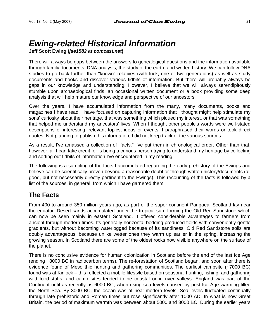# *Ewing-related Historical Information*

**Jeff Scott Ewing (***jse1582 at comcast.net***)** 

There will always be gaps between the answers to genealogical questions and the information available through family documents, DNA analysis, the study of the earth, and written history. We can follow DNA studies to go back further than "known" relatives (with luck, one or two generations) as well as study documents and books and discover various tidbits of information. But there will probably always be gaps in our knowledge and understanding. However, I believe that we will always serendipitously stumble upon archaeological finds, an occasional written document or a book providing some deep analysis that will help mature our knowledge and perspective of our ancestors.

Over the years, I have accumulated information from the many, many documents, books and magazines I have read. I have focused on capturing information that I thought might help stimulate my sons' curiosity about their heritage, that was something which piqued my interest, or that was something that helped me understand my ancestors' lives. When I thought other people's words were well-stated descriptions of interesting, relevant topics, ideas or events, I paraphrased their words or took direct quotes. Not planning to publish this information, I did not keep track of the various sources.

As a result, I've amassed a collection of "facts." I've put them in chronological order. Other than that, however, all I can take credit for is being a curious person trying to understand my heritage by collecting and sorting out tidbits of information I've encountered in my reading.

The following is a sampling of the facts I accumulated regarding the early prehistory of the Ewings and believe can be scientifically proven beyond a reasonable doubt or through written history/documents (all good, but not necessarily directly pertinent to the Ewings). This recounting of the facts is followed by a list of the sources, in general, from which I have garnered them.

# **The Facts**

From 400 to around 350 million years ago, as part of the super continent Pangaea, Scotland lay near the equator. Desert sands accumulated under the tropical sun, forming the Old Red Sandstone which can now be seen mainly in eastern Scotland. It offered considerable advantages to farmers from ancient through modern times. Its generally horizontal bedding produced fields with conveniently gentle gradients, but without becoming waterlogged because of its sandiness. Old Red Sandstone soils are doubly advantageous, because unlike wetter ones they warm up earlier in the spring, increasing the growing season. In Scotland there are some of the oldest rocks now visible anywhere on the surface of the planet.

There is no conclusive evidence for human colonization in Scotland before the end of the last Ice Age (ending ~8000 BC in radiocarbon terms). The re-forestation of Scotland began, and soon after there is evidence found of Mesolithic hunting and gathering communities. The earliest campsite (~7000 BC) found was at Kinlock – this reflected a mobile lifestyle based on seasonal hunting, fishing, and gathering wild food-stuffs, and camp sites tended to be coastal or in river valleys. England was part of the Continent until as recently as 6000 BC, when rising sea levels caused by post-Ice Age warming filled the North Sea. By 3000 BC, the ocean was at near-modern levels. Sea levels fluctuated continually through late prehistoric and Roman times but rose significantly after 1000 AD. In what is now Great Britain, the period of maximum warmth was between about 5000 and 3000 BC. During the earlier years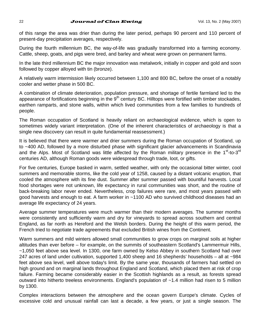### 22 **Journal of Clan Ewing**  $V$ ol. 13, No. 2 (May 2007)

of this range the area was drier than during the later period, perhaps 90 percent and 110 percent of present-day precipitation averages, respectively.

During the fourth millennium BC, the way-of-life was gradually transformed into a farming economy. Cattle, sheep, goats, and pigs were bred, and barley and wheat were grown on permanent farms.

In the late third millennium BC the major innovation was metalwork, initially in copper and gold and soon followed by copper alloyed with tin (bronze).

A relatively warm intermission likely occurred between 1,100 and 800 BC, before the onset of a notably cooler and wetter phase in 500 BC.

A combination of climate deterioration, population pressure, and shortage of fertile farmland led to the appearance of fortifications beginning in the  $9<sup>th</sup>$  century BC. Hilltops were fortified with timber stockades, earthen ramparts, and stone walls, within which lived communities from a few families to hundreds of people.

The Roman occupation of Scotland is heavily reliant on archaeological evidence, which is open to sometimes widely variant interpretation. (One of the inherent characteristics of archaeology is that a single new discovery can result in quite fundamental reassessment.)

It is believed that there were warmer and drier summers during the Roman occupation of Scotland, up to ~400 AD, followed by a more disturbed phase with significant glacier advancements in Scandinavia and the Alps. Most of Scotland was little affected by the Roman military presence in the  $1<sup>st</sup>$ -to-3<sup>rd</sup> centuries AD, although Roman goods were widespread through trade, loot, or gifts.

For five centuries, Europe basked in warm, settled weather, with only the occasional bitter winter, cool summers and memorable storms, like the cold year of 1258, caused by a distant volcanic eruption, that cooled the atmosphere with its fine dust. Summer after summer passed with bountiful harvests. Local food shortages were not unknown, life expectancy in rural communities was short, and the routine of back-breaking labor never ended. Nevertheless, crop failures were rare, and most years passed with good harvests and enough to eat. A farm worker in ~1100 AD who survived childhood diseases had an average life expectancy of 24 years.

Average summer temperatures were much warmer than their modern averages. The summer months were consistently and sufficiently warm and dry for vineyards to spread across southern and central England, as far north as Hereford and the Welsh borders. During the height of this warm period, the French tried to negotiate trade agreements that excluded British wines from the Continent.

Warm summers and mild winters allowed small communities to grow crops on marginal soils at higher altitudes than ever before – for example, on the summits of southeastern Scotland's Lammermuir Hills, ~1,050 feet above sea level. In 1300, one farm owned by Kelso Abbey in southern Scotland had over 247 acres of land under cultivation, supported 1,400 sheep and 16 shepherds' households – all at ~984 feet above sea level, well above today's limit. By the same year, thousands of farmers had settled on high ground and on marginal lands throughout England and Scotland, which placed them at risk of crop failure. Farming became considerably easier in the Scottish highlands as a result, as forests spread outward into hitherto treeless environments. England's population of ~1.4 million had risen to 5 million by 1300.

Complex interactions between the atmosphere and the ocean govern Europe's climate. Cycles of excessive cold and unusual rainfall can last a decade, a few years, or just a single season. The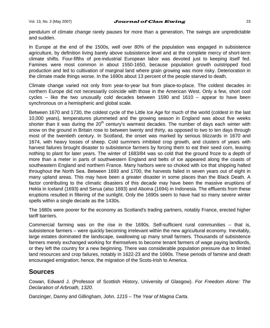#### Vol. 13, No. 2 (May 2007) **Journal of Clan Ewing**  $\frac{1}{2}$  23

pendulum of climate change rarely pauses for more than a generation. The swings are unpredictable and sudden.

In Europe at the end of the 1500s, well over 80% of the population was engaged in subsistence agriculture, by definition living barely above subsistence level and at the complete mercy of short-term climate shifts. Four-fifths of pre-industrial European labor was devoted just to keeping itself fed. Famines were most common in about 1550-1650, because population growth outstripped food production and led to cultivation of marginal land where grain growing was more risky. Deterioration in the climate made things worse. In the 1690s about 13 percent of the people starved to death.

Climate change varied not only from year-to-year but from place-to-place. The coldest decades in northern Europe did not necessarily coincide with those in the American West. Only a few, short cool cycles – like the two unusually cold decades between 1590 and 1610 – appear to have been synchronous on a hemispheric and global scale.

Between 1670 and 1730, the coldest cycle of the Little Ice Age for much of the world (coldest in the last 10,000 years), temperatures plummeted and the growing season in England was about five weeks shorter than it was during the  $20<sup>th</sup>$  century's warmest decades. The number of days each winter with snow on the ground in Britain rose to between twenty and thirty, as opposed to two to ten days through most of the twentieth century. In Scotland, the onset was marked by serious blizzards in 1670 and 1674, with heavy losses of sheep. Cold summers inhibited crop growth, and clusters of years with harvest failures brought disaster to subsistence farmers by forcing them to eat their seed corn, leaving nothing to plant for later years. The winter of 1683/84 was so cold that the ground froze to a depth of more than a meter in parts of southwestern England and belts of ice appeared along the coasts of southeastern England and northern France. Many harbors were so choked with ice that shipping halted throughout the North Sea. Between 1693 and 1700, the harvests failed in seven years out of eight in many upland areas. This may have been a greater disaster in some places than the Black Death. A factor contributing to the climatic disasters of this decade may have been the massive eruptions of Hekla in Iceland (1693) and Serua (also 1693) and Aboina (1694) in Indonesia. The effluents from these eruptions resulted in filtering of the sunlight. Only the 1690s seem to have had so many severe winter spells within a single decade as the 1430s.

The 1680s were poorer for the economy as Scotland's trading partners, notably France, erected higher tariff barriers.

Commercial farming was on the rise in the 1690s. Self-sufficient rural communities – that is, subsistence farmers – were quickly becoming irrelevant within the new agricultural economy. Inevitably, large estates dominated the landscape, swallowing up many small farmers. Thousands of subsistence farmers merely exchanged working for themselves to become tenant farmers of wage paying landlords, or they left the country for a new beginning. There was considerable population pressure due to limited land resources and crop failures, notably in 1622-23 and the 1690s. These periods of famine and death encouraged emigration; hence, the migration of the Scots-Irish to America.

# **Sources**

Cowan, Edward J. (Professor of Scottish History, University of Glasgow). *For Freedom Alone: The Declaration of Arbroath, 1320*.

Danzinger, Danny and Gillingham, John. *1215 – The Year of Magna Carta*.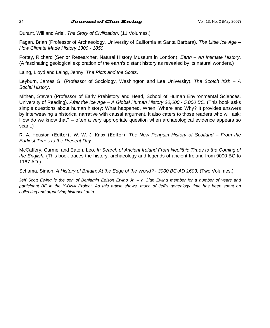#### 24 **Journal of Clan Ewing**  $V$ ol. 13, No. 2 (May 2007)

Durant, Will and Ariel. *The Story of Civilization*. (11 Volumes.)

Fagan, Brian (Professor of Archaeology, University of California at Santa Barbara). *The Little Ice Age – How Climate Made History 1300 - 1850*.

Fortey, Richard (Senior Researcher, Natural History Museum in London). *Earth – An Intimate History*. (A fascinating geological exploration of the earth's distant history as revealed by its natural wonders.)

Laing, Lloyd and Laing, Jenny. *The Picts and the Scots*.

Leyburn, James G. (Professor of Sociology, Washington and Lee University). *The Scotch Irish – A Social History*.

Mithen, Steven (Professor of Early Prehistory and Head, School of Human Environmental Sciences, University of Reading). *After the Ice Age – A Global Human History 20,000 - 5,000 BC*. (This book asks simple questions about human history: What happened, When, Where and Why? It provides answers by interweaving a historical narrative with causal argument. It also caters to those readers who will ask: How do we know that? – often a very appropriate question when archaeological evidence appears so scant.)

R. A. Houston (Editor), W. W. J. Knox (Editor). *The New Penguin History of Scotland – From the Earliest Times to the Present Day*.

McCaffery, Carmel and Eaton, Leo. *In Search of Ancient Ireland From Neolithic Times to the Coming of the English.* (This book traces the history, archaeology and legends of ancient Ireland from 9000 BC to 1167 AD.)

Schama, Simon. *A History of Britain: At the Edge of the World? - 3000 BC-AD 1603.* (Two Volumes.)

*Jeff Scott Ewing is the son of Benjamin Edison Ewing Jr. – a Clan Ewing member for a number of years and participant BE in the Y-DNA Project. As this article shows, much of Jeff's genealogy time has been spent on collecting and organizing historical data.*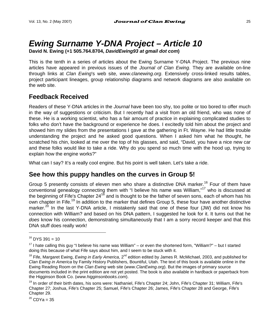# *Ewing Surname Y-DNA Project – Article 10*

**David N. Ewing (+1 505.764.8704,** *DavidEwing93 at gmail dot com***)** 

This is the tenth in a series of articles about the Ewing Surname Y-DNA Project. The previous nine articles have appeared in previous issues of the *Journal of Clan Ewing*. They are available on-line through links at *Clan Ewing*'s web site, *www.clanewing.org*. Extensively cross-linked results tables, project participant lineages, group relationship diagrams and network diagrams are also available on the web site.

# **Feedback Received**

Readers of these Y-DNA articles in the *Journal* have been too shy, too polite or too bored to offer much in the way of suggestions or criticism. But I recently had a visit from an old friend, who was none of these. He is a working scientist, who has a fair amount of practice in explaining complicated studies to folks who don't have the background or experience he does. I excitedly told him about the project and showed him my slides from the presentations I gave at the gathering in Ft. Wayne. He had little trouble understanding the project and he asked good questions. When I asked him what he thought, he scratched his chin, looked at me over the top of his glasses, and said, "David, you have a nice new car and these folks would like to take a ride. Why do you spend so much time with the hood up, trying to explain how the engine works?"

What can I say? It's a really cool engine. But his point is well taken. Let's take a ride.

# **See how this puppy handles on the curves in Group 5!**

Group 5 presently consists of eleven men who share a distinctive DNA marker.<sup>16</sup> Four of them have conventional genealogy connecting them with "I believe his name was William,"<sup>17</sup> who is discussed at the beginning of Fife's Chapter 24<sup>18</sup> and is thought to be the father of seven sons, each of whom has his own chapter in Fife.<sup>19</sup> In addition to the marker that defines Group 5, these four have another distinctive marker.<sup>20</sup> In the last Y-DNA article, I mistakenly said that one of these four (JW) did not know his connection with William? and based on his DNA pattern, I suggested he look for it. It turns out that he *does* know his connection, demonstrating simultaneously that I am a sorry record keeper and that this DNA stuff does really work!

l

 $^{20}$  CDYa = 35

 $16$  DYS 391 = 10

 $17$  I hate calling this guy "I believe his name was William" – or even the shortened form, "William?" – but I started doing this because of what Fife says about him, and I seem to be stuck with it.

<sup>&</sup>lt;sup>18</sup> Fife, Margaret Ewing, *Ewing in Early America*, 2<sup>nd</sup> edition edited by James R. McMichael, 2003, and published for *Clan Ewing in America* by Family History Publishers, Bountiful, Utah. The text of this book is available online in the Ewing Reading Room on the *Clan Ewing* web site (*www.ClanEwing.org*). But the images of primary source documents included in the print edition are not yet posted. The book is also available in hardback or paperback from the Higginson Book Co. (*www.higginsonbooks.com*).

<sup>&</sup>lt;sup>19</sup> In order of their birth dates, his sons were: Nathaniel, Fife's Chapter 24; John, Fife's Chapter 31; William, Fife's Chapter 27; Joshua, Fife's Chapter 25; Samuel, Fife's Chapter 26; James, Fife's Chapter 28 and George, Fife's Chapter 29.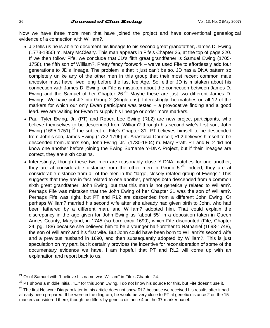Now we have three more men that have joined the project and have conventional genealogical evidence of a connection with William?.

- JD tells us he is able to document his lineage to his second great grandfather, James D. Ewing (1773-1850) m. Mary McCleary. This man appears in Fife's Chapter 26, at the top of page 220. If we then follow Fife, we conclude that JD's fifth great grandfather is Samuel Ewing (1705- 1758), the fifth son of William?. Pretty fancy footwork – we've used Fife to effortlessly add four generations to JD's lineage. The problem is that it just can't be so. JD has a DNA pattern so completely unlike any of the other men in this group that their most recent common male ancestor must have lived long before the last Ice Age. So, either JD is mistaken about his connection with James D. Ewing, or Fife is mistaken about the connection between James D. Ewing and the Samuel of her Chapter  $26.<sup>21</sup>$  Maybe these are just two different James D. Ewings. We have put JD into Group 2 (Singletons). Interestingly, he matches on all 12 of the markers for which our only Ewan participant was tested – a provocative finding and a good lead. We are waiting for Ewan to supply his lineage or order more markers.
- Paul Tyler Ewing, Jr. (PT) and Robert Lee Ewing (RL2) are new project participants, who believe themselves to be descended from William? through his second wife's first son, John Ewing (1695-1751),<sup>22</sup> the subject of Fife's Chapter 31. PT believes himself to be descended from John's son, James Ewing (1732-1796) m. Anastasia Councell; RL2 believes himself to be descended from John's son, John Ewing [Jr.] (1730-1804) m. Mary Pratt. PT and RL2 did not know one another before joining the Ewing Surname Y-DNA Project, but if their lineages are correct, they are sixth cousins.
- Interestingly, though these two men are reasonably close Y-DNA matches for one another, they are at considerable distance from the other men in Group  $5.^{23}$  Indeed, they are at considerable distance from all of the men in the "large, closely related group of Ewings." This suggests that they are in fact related to one another, perhaps both descended from a common sixth great grandfather, John Ewing, but that this man is not genetically related to William?. Perhaps Fife was mistaken that the John Ewing of her Chapter 31 was the son of William?. Perhaps Fife was right, but PT and RL2 are descended from a different John Ewing. Or perhaps William? married his second wife after she already had given birth to John, who had been fathered by a different man, and William? adopted him. That could explain the discrepancy in the age given for John Ewing as "about 55" in a deposition taken in Queen Annes County, Maryland, in 1745 (so born circa 1690), which Fife discounted (Fife, Chapter 24, pg. 188) because she believed him to be a younger half-brother to Nathaniel (1693-1748), the son of William? and his first wife. But John could have been born to William?'s second wife and a previous husband in 1690, and then subsequently adopted by William?. This is just speculation on my part, but it certainly provides the incentive for reconsideration of some of the documentary evidence we have. I am hopeful that PT and RL2 will come up with an explanation and report back to us.

 $21$  Or of Samuel with "I believe his name was William" in Fife's Chapter 24.

 $^{22}$  PT shows a middle initial, "E," for this John Ewing. I do not know his source for this, but Fife doesn't use it.

 $23$  The first Network Diagram later in this article does not show RL2 because we received his results after it had already been prepared. If he were in the diagram, he would be very close to PT at genetic distance 2 on the 15 markers considered there, though he differs by genetic distance 4 on the 37-marker panel.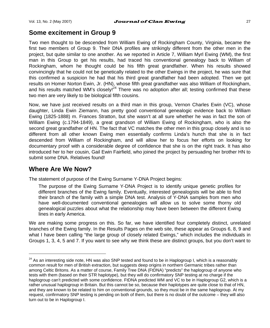# **Some excitement in Group 9**

Two men thought to be descended from William Ewing of Rockingham County, Virginia, became the first two members of Group 9. Their DNA profiles are strikingly different from the other men in the project, but quite similar to one another. As we reported in Article 7, William Myrl Ewing (WM), the first man in this Group to get his results, had traced his conventional genealogy back to William of Rockingham, whom he thought could be his fifth great grandfather. When his results showed convincingly that he could not be genetically related to the other Ewings in the project, he was sure that this confirmed a suspicion he had that his third great grandfather had been adopted. Then we got results on Homer Norton Ewin, Jr. (HN), whose fifth great grandfather was also William of Rockingham, and his results matched WM's closely<sup>(24</sup> There was no adoption after all; testing confirmed that these two men are very likely to be biological fifth cousins.

Now, we have just received results on a third man in this group, Vernon Charles Ewin (VC), whose daughter, Linda Ewin Ziemann, has pretty good conventional genealogic evidence back to William Ewing (1825-1888) m. Frances Stratton, but she wasn't at all sure whether he was in fact the son of William Ewing (c.1794-1849), a great grandson of William Ewing of Rockingham, who is also the second great grandfather of HN. The fact that VC matches the other men in this group closely and is so different from all other known Ewing men essentially confirms Linda's hunch that she is in fact descended from William of Rockingham, and will allow her to focus her efforts on looking for documentary proof with a considerable degree of confidence that she is on the right track. It has also introduced her to her cousin, Gail Ewin Fairfield, who joined the project by persuading her brother HN to submit some DNA. Relatives found!

# **Where Are We Now?**

l

The statement of purpose of the Ewing Surname Y-DNA Project begins:

The purpose of the Ewing Surname Y-DNA Project is to identify unique genetic profiles for different branches of the Ewing family. Eventually, interested genealogists will be able to find their branch of the family with a simple DNA test. Analysis of Y-DNA samples from men who have well-documented conventional genealogies will allow us to solve some thorny old genealogical puzzles about what the relationship may have been between the different Ewing lines in early America.

We are making some progress on this. So far, we have identified four completely distinct, unrelated branches of the Ewing family. In the Results Pages on the web site, these appear as Groups 6, 8, 9 and what I have been calling "the large group of closely related Ewings," which includes the individuals in Groups 1, 3, 4, 5 and 7. If you want to see why we think these are distinct groups, but you don't want to

 $24$  As an interesting side note. HN was also SNP tested and found to be in Haplogroup I, which is a reasonably common result for men of British extraction, but suggests deep origins in northern Germanic tribes rather than among Celtic Britons. As a matter of course, Family Tree DNA (FtDNA) "predicts" the haplogroup of anyone who tests with them (based on their STR haplotype), but they will do confirmatory SNP testing at no charge if the haplogroup can't predicted with some confidence. FtDNA predicted WM and VC to be in Haplogroup G2, which is a rather unusual haplogroup in Britain. But this cannot be so, because their haplotypes are quite close to that of HN, and they are known to be related to him on conventional grounds, so they must be in the same haplogroup. At my request, confirmatory SNP testing is pending on both of them, but there is no doubt of the outcome – they will also turn out to be in Haplogroup I.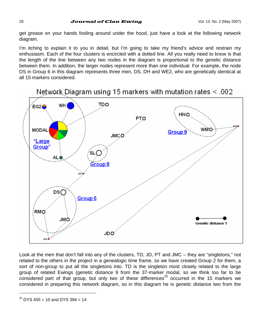get grease on your hands fooling around under the hood, just have a look at the following network diagram.

I'm itching to explain it to you in detail, but I'm going to take my friend's advice and restrain my enthusiasm. Each of the four clusters is encircled with a dotted line. All you really need to know is that the length of the line between any two nodes in the diagram is proportional to the genetic distance between them. In addition, the larger nodes represent more than one individual. For example, the node DS in Group 6 in this diagram represents three men, DS, DH and WE2, who are genetically identical at all 15 markers considered.



Look at the men that don't fall into any of the clusters, TD, JD, PT and JMC – they are "singletons," not related to the others in the project in a genealogic time frame, so we have created Group 2 for them, a sort of non-group to put all the singletons into. TD is the singleton most closely related to the large group of related Ewings (genetic distance 9 from the 37-marker modal, so we think too far to be considered part of that group, but only two of these differences<sup>25</sup> occurred in the 15 markers we considered in preparing this network diagram, so in this diagram he is genetic distance two from the

 $^{25}$  DYS 455 = 10 and DYS 394 = 14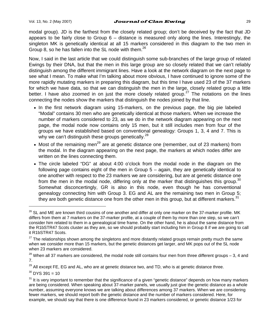### Vol. 13. No. 2 (May 2007)  $Journal$  of Clan Ewing  $29$

modal group). JD is the farthest from the closely related group; don't be deceived by the fact that JD appears to be fairly close to Group  $6 -$  distance is measured only along the lines. Interestingly, the singleton MK is genetically identical at all 15 markers considered in this diagram to the two men in Group 8, so he has fallen into the SL node with them.<sup>26</sup>

Now, I said in the last article that we could distinguish some sub-branches of the large group of related Ewings by their DNA, but that the men in this large group are so closely related that we can't reliably distinguish among the different immigrant lines. Have a look at the network diagram on the next page to see what I mean. To make what I'm talking about more obvious, I have continued to ignore some of the more rapidly mutating markers in preparing this diagram, but this time I have used 23 of the 37 markers for which we have data, so that we can distinguish the men in the large, closely related group a little better. I have also zoomed in on just the more closely related group.<sup>27</sup> The notations on the lines connecting the nodes show the markers that distinguish the nodes joined by that line.

- In the first network diagram using 15-markers, on the previous page, the big pie labeled "Modal" contains 30 men who are genetically identical at those markers. When we increase the number of markers considered to 23, as we do in the network diagram appearing on the next page, the modal node now contains only 15 men, but it still includes men from four of the groups we have established based on conventional genealogy: Groups 1, 3, 4 and 7. This is why we can't distinguish these groups genetically.<sup>28</sup>
- Most of the remaining men<sup>29</sup> are at genetic distance one (remember, out of 23 markers) from the modal. In the diagram appearing on the next page, the markers at which nodes differ are written on the lines connecting them.
- The circle labeled "DG" at about 4:00 o'clock from the modal node in the diagram on the following page contains eight of the men in Group 5 – again, they are genetically identical to one another with respect to the 23 markers we are considering, but are at genetic distance one from the men in the modal node, differing only at the marker that distinguishes this group.<sup>30</sup> Somewhat disconcertingly, GR is also in this node, even though he has conventional genealogy connecting him with Group 3. EG and AL are the remaining two men in Group 5; they are both genetic distance one from the other men in this group, but at different markers.<sup>31</sup>

 $30$  DYS 391 = 10

 $^{26}$  SL and ME are known third cousins of one another and differ at only one marker on the 37-marker profile. MK differs from them at 7 markers on the 37-marker profile, at a couple of them by more than one step, so we can't consider him related to them in a genealogical time frame. On the other hand, he is about the same distance from the R1bSTR47 Scots cluster as they are, so we should probably start including him in Group 8 if we are going to call it R1bSTR47 Scots.

 $27$  The relationships shown among the singletons and more distantly related groups remain pretty much the same when we consider more than 15 markers, but the genetic distances get larger, and MK pops out of the SL node when 23 markers are considered.

 $^{28}$  When all 37 markers are considered, the modal node still contains four men from three different groups  $-$  3, 4 and 7.

<sup>&</sup>lt;sup>29</sup> All except FE, EG and AL, who are at genetic distance two, and TD, who is at genetic distance three.

 $31$  It is very important to remember that the significance of a given "genetic distance" depends on how many markers are being considered. When speaking about 37-marker panels, we usually just give the genetic distance as a whole number, assuming everyone knows we are talking about differences among 37 markers. When we are considering fewer markers, we should report both the genetic distance and the number of markers considered. Here, for example, we should say that there is one difference found in 23 markers considered, or genetic distance 1/23 for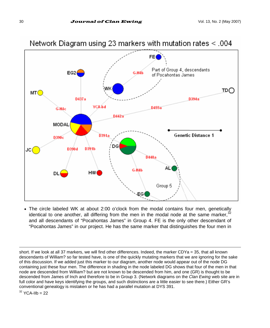

• The circle labeled WK at about 2:00 o'clock from the modal contains four men, genetically identical to one another, all differing from the men in the modal node at the same marker, $3$ and all descendants of "Pocahontas James" in Group 4. FE is the only other descendant of "Pocahontas James" in our project. He has the same marker that distinguishes the four men in

short. If we look at all 37 markers, we will find other differences. Indeed, the marker CDYa = 35, that all known descendants of William? so far tested have, is one of the quickly mutating markers that we are ignoring for the sake of this discussion. If we added just this marker to our diagram, another node would appear out of the node DG containing just these four men. The difference in shading in the node labeled DG shows that four of the men in that node are descended from William? but are not known to be descended from him, and one (GR) is thought to be descended from James of Inch and therefore to be in Group 3. (Network diagrams on the *Clan Ewing* web site are in full color and have keys identifying the groups, and such distinctions are a little easier to see there.) Either GR's conventional genealogy is mistaken or he has had a parallel mutation at DYS 391.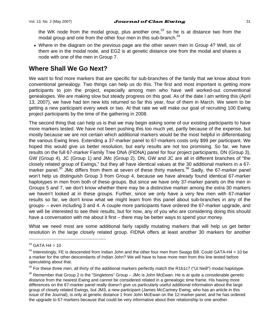the WK node from the modal group, plus another one, $33$  so he is at distance two from the modal group and one from the other four men in this sub-branch.<sup>34</sup>

• Where in the diagram on the previous page are the other seven men in Group 4? Well, six of them are in the modal node, and EG2 is at genetic distance one from the modal and shares a node with one of the men in Group 7.

# **Where Shall We Go Next?**

We want to find more markers that are specific for sub-branches of the family that we know about from conventional genealogy. Two things can help us do this. The first and most important is getting more participants to join the project, especially among men who have well worked-out conventional genealogies. We are making slow but steady progress on this goal. As of the date I am writing this (April 13, 2007), we have had ten new kits returned so far this year, four of them in March. We seem to be getting a new participant every week or two. At that rate we will make our goal of recruiting 100 Ewing project participants by the time of the gathering in 2008.

The second thing that can help us is that we may begin asking some of our existing participants to have more markers tested. We have not been pushing this too much yet, partly because of the expense, but mostly because we are not certain which additional markers would be the most helpful in differentiating the various Ewing lines. Extending a 37-marker panel to 67-markers costs only \$99 per participant. We hoped this would give us better resolution, but early results are not too promising. So far, we have results on the full 67-marker Family Tree DNA (FtDNA) panel for four project participants, DN (Group 3), GW (Group 4), JC (Group 1) and JMc (Group 2). DN, GW and JC are all in different branches of "the closely related group of Ewings," but they all have identical values at the 30 additional markers in a 67 marker panel.<sup>35</sup> JMc differs from them at seven of these thirty markers.<sup>36</sup> Sadly, the 67-marker panel won't help us distinguish Group 3 from Group 4, because we have already found identical 67-marker haplotypes in men from both of these groups. But since we have only 37-marker panels on the men in Groups 5 and 7, we don't know whether there may be a distinctive marker among the extra 30 markers we haven't looked at in these groups. Further, since we only have a very few men with 67-marker results so far, we don't know what we might learn from this panel about sub-branches in any of the groups- – even including 3 and 4. A couple more participants have ordered the 67-marker upgrade, and we will be interested to see their results, but for now, any of you who are considering doing this should have a conversation with me about it first – there may be better ways to spend your money.

What we need most are some additional fairly rapidly mutating markers that will help us get better resolution in the large closely related group. FtDNA offers at least another 30 markers for another

 $33$  GATA H4 = 10

 $34$  Interestingly, FE is descended from Indian John and the other four men from Swago Bill. Could GATA-H4 = 10 be a marker for the other descendants of Indian John? We will have to have more men from this line tested before speculating about that.

<sup>&</sup>lt;sup>35</sup> For these three men, all thirty of the additional markers perfectly match the R1b1c7 ("Ui Neill") modal haplotype.

 $36$  Remember that Group 2 is the "Singletons" Group – JMc is John McEwan. He is at quite a considerable genetic distance from the nearest Ewing and cannot be considered related in a genealogic time frame. His having more differences on the 67-marker panel really doesn't give us particularly useful additional information about the large group of closely related Ewings, but JM3, a new participant (James McCartney Ewing, who has an article in this issue of the Journal), is only at genetic distance 1 from John McEwan on the 12-marker panel, and he has ordered the upgrade to 67-markers because that could be very informative about their relationship to one another.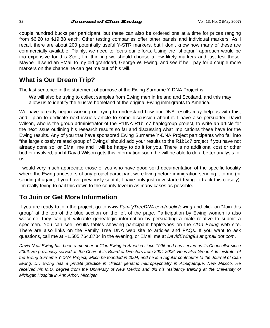couple hundred bucks per participant, but these can also be ordered one at a time for prices ranging from \$6.20 to \$19.88 each. Other testing companies offer other panels and individual markers. As I recall, there are about 200 potentially useful Y-STR markers, but I don't know how many of these are commercially available. Plainly, we need to focus our efforts. Using the "shotgun" approach would be too expensive for this Scot; I'm thinking we should choose a few likely markers and just test these. Maybe I'll send an EMail to my old granddad, George W. Ewing, and see if he'll pay for a couple more markers on the chance he can get me out of his will.

# **What is Our Dream Trip?**

The last sentence in the statement of purpose of the Ewing Surname Y-DNA Project is:

We will also be trying to collect samples from Ewing men in Ireland and Scotland, and this may allow us to identify the elusive homeland of the original Ewing immigrants to America.

We have already begun working on trying to understand how our DNA results may help us with this, and I plan to dedicate next issue's article to some discussion about it. I have also persuaded David Wilson, who is the group administrator of the FtDNA R1b1c7 haplogroup project, to write an article for the next issue outlining his research results so far and discussing what implications these have for the Ewing results. Any of you that have sponsored Ewing Surname Y-DNA Project participants who fall into "the large closely related group of Ewings" should add your results to the R1b1c7 project if you have not already done so, or EMail me and I will be happy to do it for you. There is no additional cost or other bother involved, and if David Wilson gets this information soon, he will be able to do a better analysis for us.

I would very much appreciate those of you who have good solid documentation of the specific locality where the Ewing ancestors of any project participant were living before immigration sending it to me (or sending it again, if you have previously sent it; I have only just now started trying to track this closely). I'm really trying to nail this down to the county level in as many cases as possible.

# **To Join or Get More Information**

If you are ready to join the project, go to *www.FamilyTreeDNA.com/public/ewing* and click on "Join this group" at the top of the blue section on the left of the page. Participation by Ewing women is also welcome; they can get valuable genealogic information by persuading a male relative to submit a specimen. You can see results tables showing participant haplotypes on the *Clan Ewing* web site. There are also links on the Family Tree DNA web site to articles and FAQs. If you want to ask questions, call me at +1.505.764.8704 in the evening, or EMail me at *DavidEwing93 at gmail dot com*.

*David Neal Ewing has been a member of Clan Ewing in America since 1996 and has served as its Chancellor since*  2006. He previously served as the Chair of its Board of Directors from 2004-2006. He is also Group Administrator of *the Ewing Surname Y-DNA Project, which he founded in 2004, and he is a regular contributor to the Journal of Clan Ewing. Dr. Ewing has a private practice in clinical geriatric neuropsychiatry in Albuquerque, New Mexico. He*  received his M.D. degree from the University of New Mexico and did his residency training at the University of *Michigan Hospital in Ann Arbor, Michigan.*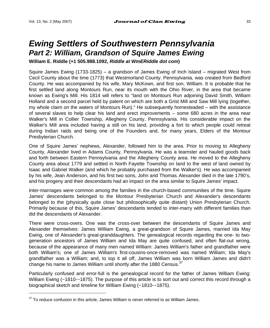l

# *Ewing Settlers of Southwestern Pennsylvania Part 2: William, Grandson of Squire James Ewing*

**William E. Riddle (+1 505.988.1092,** *Riddle at WmERiddle dot com***)** 

Squire James Ewing (1733-1825) – a grandson of James Ewing of Inch Island – migrated West from Cecil County about the time (1773) that Westmorland County. Pennsylvania, was created from Bedford County. He was accompanied by his wife, Mary McKown, and first son, William. It is probable that he first settled land along Montours Run, near its mouth with the Ohio River, in the area that became known as Ewing's Mill. His 1814 will refers to "land on Montours Run adjoining David Smith, William Holland and a second parcel held by patent on which are both a Grist Mill and Saw Mill lying (together, my whole claim on the waters of Montours Run)." He subsequently homesteaded – with the assistance of several slaves to help clear his land and erect improvements – some 680 acres in the area near Walker's Mill in Collier Township, Allegheny County, Pennsylvania. His considerable impact on the Walker's Mill area included having a still on his land, providing a fort to which people could retreat during Indian raids and being one of the Founders and, for many years, Elders of the Montour Presbyterian Church.

One of Squire James' nephews, Alexander, followed him to the area. Prior to moving to Allegheny County, Alexander lived in Adams County, Pennsylvania. He was a teamster and hauled goods back and forth between Eastern Pennsylvania and the Allegheny County area. He moved to the Allegheny County area about 1779 and settled in North Fayette Township on land to the west of land owned by Isaac and Gabriel Walker (and which he probably purchased from the Walker's). He was accompanied by his wife, Jean Anderson, and his first two sons, John and Thomas. Alexander died in the late 1790's, and his progeny and their descendants had an impact on the area similar to Squire James' impact.

Inter-marriages were common among the families in the church-based communities of the time. Squire James' descendants belonged to the Montour Presbyterian Church and Alexander's descendants belonged to the (physically quite close but philosophically quite distant) Union Presbyterian Church. Primarily because of this, Squire James' descendants tended to inter-marry with different families than did the descendants of Alexander.

There were cross-overs. One was the cross-over between the descendants of Squire James and Alexander themselves: James William Ewing, a great-grandson of Squire James, married Ida May Ewing, one of Alexander's great-granddaughters. The genealogical records regarding the one- to twogeneration ancestors of James William and Ida May are quite confused, and often flat-out wrong, because of the appearance of many men named William: James William's father and grandfather were both William's; one of James William's first-cousins-once-removed was named William; Ida May's grandfather was a William; and, to top it all off, James William was born William James and didn't change his name to James William until shortly after the 1880 Census.<sup>37</sup>

Particularly confused and error-full is the genealogical record for the father of James William Ewing: William Ewing (~1810-~1875). The purpose of this article is to sort out and correct this record through a biographical sketch and timeline for William Ewing (~1810-~1875).

<sup>37</sup> To reduce confusion in this article, James William is *never* referred to as William James.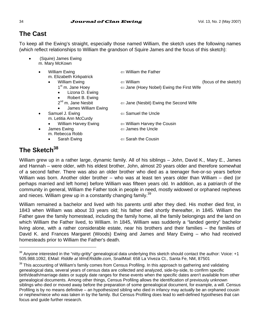# **The Cast**

To keep all the Ewing's straight, especially those named William, the sketch uses the following names (which reflect relationships to William the grandson of Squire James and the focus of this sketch):

• (Squire) James Ewing m. Mary McKown

| $\bullet$ | <b>William Ewing</b><br>m. Elizabeth Kirkpatrick | $\leftarrow$ William the Father                     |                       |
|-----------|--------------------------------------------------|-----------------------------------------------------|-----------------------|
|           | <b>William Ewing</b><br>$\bullet$                | $\Leftarrow$ William                                | (focus of the sketch) |
|           | 1 <sup>st</sup> m. Jane Hoey                     | $\Leftarrow$ Jane (Hoey Nobel) Ewing the First Wife |                       |
|           | Lizona D. Ewing<br>$\bullet$                     |                                                     |                       |
|           | Robert B. Ewing<br>$\bullet$                     |                                                     |                       |
|           | $2nd$ m. Jane Nesbit                             | $\Leftarrow$ Jane (Nesbit) Ewing the Second Wife    |                       |
|           | James William Ewing<br>$\bullet$                 |                                                     |                       |
| $\bullet$ | Samuel J. Ewing                                  | $\Leftarrow$ Samuel the Uncle                       |                       |
|           | m. Letitia Ann McCurdy                           |                                                     |                       |
|           | William Harvey Ewing<br>$\bullet$                | $\Leftarrow$ William Harvey the Cousin              |                       |
| $\bullet$ | James Ewing                                      | $\Leftarrow$ James the Uncle                        |                       |
|           | m. Rebecca Robb                                  |                                                     |                       |
|           | Sarah Ewing<br>٠                                 | $\Leftarrow$ Sarah the Cousin                       |                       |
|           |                                                  |                                                     |                       |

# **The Sketch38**

l

William grew up in a rather large, dynamic family. All of his siblings – John, David K., Mary E., James and Hannah – were older, with his eldest brother, John, almost 20 years older and therefore somewhat of a second father. There was also an older brother who died as a teenager five-or-so years before William was born. Another older brother – who was at least ten years older than William – died (or perhaps married and left home) before William was fifteen years old. In addition, as a patriarch of the community in general, William the Father took in people in need, mostly widowed or orphaned nephews and nieces. William grew up in a constantly changing family.<sup>39</sup>

William remained a bachelor and lived with his parents until after they died. His mother died first, in 1843 when William was about 33 years old; his father died shortly thereafter, in 1845. William the Father gave the family homestead, including the family home, all the family belongings and the land on which William the Father lived, to William. In 1845, William was suddenly a "landed gentry" bachelor living alone, with a rather considerable estate, near his brothers and their families – the families of David K. and Frances Margaret (Woods) Ewing and James and Mary Ewing – who had received homesteads prior to William the Father's death.

 $38$  Anyone interested in the "nitty-gritty" genealogical data underlying this sketch should contact the author: Voice: +1 505.988.1092, EMail: *Riddle at WmERiddle.com*, SnailMail: 658 La Viveza Ct., Santa Fe, NM, 87501

<sup>&</sup>lt;sup>39</sup> This accounting of William's family comes from Census Profiling. In this approach to gathering and validating genealogical data, several years of census data are collected and analyzed, side-by-side, to confirm specific birth/death/marriage dates or supply date ranges for these events when the specific dates aren't available from other genealogical documents. Among other things, Census Profiling allows the identification of previously unknown siblings who died or moved away before the preparation of some genealogical document, for example, a will. Census Profiling is by no means definitive – an hypothesized sibling who died in infancy may actually be an orphaned cousin or nephew/niece who was taken in by the family. But Census Profiling does lead to well-defined hypotheses that can focus and guide further research.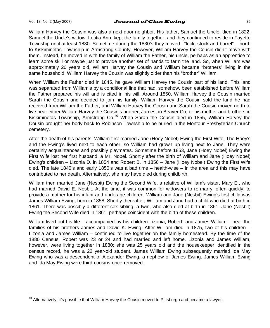l

#### Vol. 13, No. 2 (May 2007) **Journal of Clan Ewing**  $\frac{35}{2}$

William Harvey the Cousin was also a next-door neighbor. His father, Samuel the Uncle, died in 1822. Samuel the Uncle's widow, Letitia Ann, kept the family together, and they continued to reside in Fayette Township until at least 1830. Sometime during the 1830's they moved– "lock, stock and barrel" – north to Kiskiminetas Township in Armstrong County. However, William Harvey the Cousin didn't move with them. Instead, he moved in with the family of William the Father, his uncle, perhaps as an apprentice to learn some skill or maybe just to provide another set of hands to farm the land. So, when William was approximately 20 years old, William Harvey the Cousin and William became "brothers" living in the same household; William Harvey the Cousin was slightly older than his "brother" William.

When William the Father died in 1845, he gave William Harvey the Cousin part of his land. This land was separated from William's by a conditional line that had, somehow, been established before William the Father prepared his will and is cited in his will. Around 1850, William Harvey the Cousin married Sarah the Cousin and decided to join his family. William Harvey the Cousin sold the land he had received from William the Father, and William Harvey the Cousin and Sarah the Cousin moved north to live near either William Harvey the Cousin's brother, James, in Beaver Co, or his mother and brothers in Kiskiminetas Township, Armstrong Co.<sup>40</sup> When Sarah the Cousin died in 1855, William Harvey the Cousin brought her body back to Robinson Township to be buried in the Montour Presbyterian Church cemetery.

After the death of his parents, William first married Jane (Hoey Nobel) Ewing the First Wife. The Hoey's and the Ewing's lived next to each other, so William had grown up living next to Jane. They were certainly acquaintances and possibly playmates. Sometime before 1853, Jane (Hoey Nobel) Ewing the First Wife lost her first husband, a Mr. Nobel. Shortly after the birth of William and Jane (Hoey Nobel) Ewing's children – Lizonia D. in 1854 and Robert B. in 1856 – Jane (Hoey Nobel) Ewing the First Wife died. The late 1840's and early 1850's was a bad time – health-wise – in the area and this may have contributed to her death. Alternatively, she may have died during childbirth.

William then married Jane (Nesbit) Ewing the Second Wife, a relative of William's sister, Mary E., who had married David E. Nesbit. At the time, it was common for widowers to re-marry, often quickly, to provide a mother for his infant and underage children. William and Jane (Nesbit) Ewing's first child was James William Ewing, born in 1858. Shortly thereafter, William and Jane had a child who died at birth in 1861. There was possibly a different-sex sibling, a twin, who also died at birth in 1861. Jane (Nesbit) Ewing the Second Wife died in 1861, perhaps coincident with the birth of these children.

William lived out his life – accompanied by his children Lizonia, Robert and James William – near the families of his brothers James and David K. Ewing. After William died in 1875, two of his children – Lizonia and James William – continued to live together on the family homestead. By the time of the 1880 Census, Robert was 23 or 24 and had married and left home. Lizonia and James William, however, were living together in 1880; she was 25 years old and the housekeeper identified in the census record, he was a 22 year-old student. James William Ewing subsequently married Ida May Ewing who was a descendent of Alexander Ewing, a nephew of James Ewing. James William Ewing and Ida May Ewing were third-cousins-once-removed.

 $40$  Alternatively, it's possible that William Harvey the Cousin moved to Pittsburgh and became a lawyer.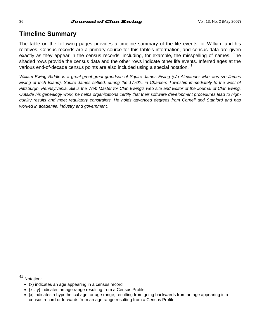# **Timeline Summary**

The table on the following pages provides a timeline summary of the life events for William and his relatives. Census records are a primary source for this table's information, and census data are given exactly as they appear in the census records, including, for example, the misspelling of names. The shaded rows provide the census data and the other rows indicate other life events. Inferred ages at the various end-of-decade census points are also included using a special notation.<sup>41</sup>

*William Ewing Riddle is a great-great-great-grandson of Squire James Ewing (s/o Alexander who was s/o James Ewing of Inch Island). Squire James settled, during the 1770's, in Chartiers Township immediately to the west of* Pittsburgh, Pennsylvania. Bill is the Web Master for Clan Ewing's web site and Editor of the Journal of Clan Ewing. *Outside his genealogy work, he helps organizations certify that their software development procedures lead to highquality results and meet regulatory constraints. He holds advanced degrees from Cornell and Stanford and has worked in academia, industry and government.* 

41 Notation:

<sup>•</sup> (x) indicates an age appearing in a census record

<sup>•</sup> {x…y} indicates an age range resulting from a Census Profile

<sup>•</sup> [x] indicates a hypothetical age, or age range, resulting from going backwards from an age appearing in a census record or forwards from an age range resulting from a Census Profile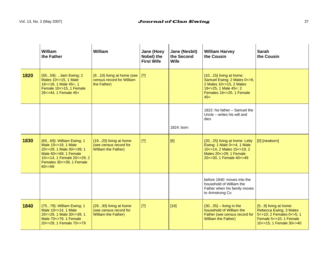|      | William<br>the Father                                                                                                                                                         | William                                                                         | Jane (Hoey<br>Nobel) the<br><b>First Wife</b> | Jane (Nesbit)<br>the Second<br>Wife | <b>William Harvey</b><br>the Cousin                                                                                                          | Sarah<br>the Cousin                                                                                                                |
|------|-------------------------------------------------------------------------------------------------------------------------------------------------------------------------------|---------------------------------------------------------------------------------|-----------------------------------------------|-------------------------------------|----------------------------------------------------------------------------------------------------------------------------------------------|------------------------------------------------------------------------------------------------------------------------------------|
| 1820 | {5559}:  liam Ewing; 2<br>Males 10<>15, 1 Male<br>16<>18, 1 Male 45<, 1<br>Female 10<>15, 1 Female<br>26<>44, 1 Female 45<                                                    | $\{910\}$ living at home (see   [?]<br>census record for William<br>the Father) |                                               |                                     | {1015} living at home:<br>Samuel Ewing; 2 Males 0<>9,<br>2 Males 10<>15. 2 Males<br>19<>25, 1 Male 45<; 2<br>Females 16<>25, 1 Female<br>45< |                                                                                                                                    |
|      |                                                                                                                                                                               |                                                                                 |                                               | 1824: born                          | 1822: his father - Samuel the<br>Uncle - writes his will and<br>dies                                                                         |                                                                                                                                    |
| 1830 | {6569}: William Ewing; 1<br>Male 15 <> 19, 1 Male<br>20<>29, 1 Male 30<>39; 1<br>Male 60<>69; 1 Female<br>10<>14, 1 Female 20<>29, 2<br>Females 30<>39, 1 Female<br>60 < > 69 | {1920} living at home<br>(see census record for<br><b>William the Father)</b>   | [?]                                           | [6]                                 | {2025} living at home: Letty<br>Ewing: 1 Male 0<>4, 1 Male<br>10<>14, 2 Males 15<>19, 2<br>Males 20<>29; 1 Female<br>20<>30, 1 Female 40<>49 | [0] [newborn]                                                                                                                      |
|      |                                                                                                                                                                               |                                                                                 |                                               |                                     | before 1840: moves into the<br>household of William the<br>Father when his family moves<br>to Armstrong Co                                   |                                                                                                                                    |
| 1840 | {7579}: William Ewing; 1<br>Male 10<>14, 1 Male<br>20<>29, 1 Male 30<>39, 1<br>Male 70<>79, 1 Female<br>20<>29.1 Female 70<>79                                                | {2930} living at home<br>(see census record for<br><b>William the Father)</b>   | $[?]$                                         | $[16]$                              | $\{3035\}$ – living in the<br>household of William the<br>Father (see census record for<br><b>William the Father)</b>                        | {59} living at home:<br>Rebecca Ewing; 3 Males<br>5<>10; 2 Females 0<>5; 1<br>Female 5 < > 10; 1 Female<br>10<>15: 1 Female 30<>40 |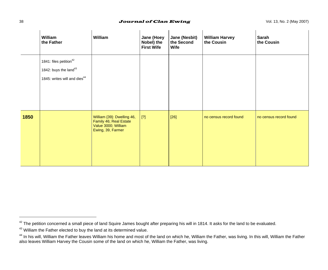#### $J$ ournal of Clan Ewing  $\frac{J}{V}$   $\frac{J}{V}$   $\frac{J}{V}$   $\frac{J}{V}$   $\frac{J}{V}$   $\frac{J}{V}$   $\frac{J}{V}$   $\frac{J}{V}$   $\frac{J}{V}$   $\frac{J}{V}$   $\frac{J}{V}$   $\frac{J}{V}$   $\frac{J}{V}$   $\frac{J}{V}$   $\frac{J}{V}$   $\frac{J}{V}$   $\frac{J}{V}$   $\frac{J}{V}$   $\frac{J}{V}$   $\frac{J}{V$

|      | William<br>the Father                                                                                               | William                                                                                          | Jane (Hoey<br>Nobel) the<br><b>First Wife</b> | Jane (Nesbit)<br>the Second<br>Wife | <b>William Harvey</b><br>the Cousin | Sarah<br>the Cousin    |
|------|---------------------------------------------------------------------------------------------------------------------|--------------------------------------------------------------------------------------------------|-----------------------------------------------|-------------------------------------|-------------------------------------|------------------------|
|      | 1841: files petition <sup>42</sup><br>1842: buys the land <sup>43</sup><br>1845: writes will and dies <sup>44</sup> |                                                                                                  |                                               |                                     |                                     |                        |
| 1850 |                                                                                                                     | William {39}: Dwelling 46,<br>Family 46; Real Estate<br>Value 3000; William<br>Ewing, 39, Farmer | $[?]$                                         | $[26]$                              | no census record found              | no census record found |

 $42$  The petition concerned a small piece of land Squire James bought after preparing his will in 1814. It asks for the land to be evaluated.

<sup>&</sup>lt;sup>43</sup> William the Father elected to buy the land at its determined value.

<sup>&</sup>lt;sup>44</sup> In his will, William the Father leaves William his home and most of the land on which he, William the Father, was living. In this will, William the Father also leaves William Harvey the Cousin some of the land on which he, William the Father, was living.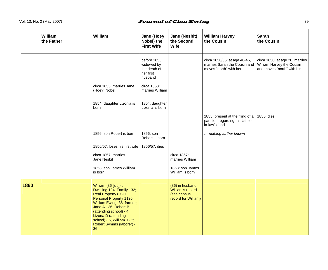### Vol. 13, No. 2 (May 2007) **Superfield and Southern Collain Ewing** 39

|      | William<br>the Father | William                                                                                                                                                                                                                                                                      | Jane (Hoey<br>Nobel) the<br><b>First Wife</b>                      | Jane (Nesbit)<br>the Second<br>Wife                                       | <b>William Harvey</b><br>the Cousin                                                    | Sarah<br>the Cousin                                                                       |
|------|-----------------------|------------------------------------------------------------------------------------------------------------------------------------------------------------------------------------------------------------------------------------------------------------------------------|--------------------------------------------------------------------|---------------------------------------------------------------------------|----------------------------------------------------------------------------------------|-------------------------------------------------------------------------------------------|
|      |                       |                                                                                                                                                                                                                                                                              | before 1853:<br>widowed by<br>the death of<br>her first<br>husband |                                                                           | circa 1850/55: at age 40-45,<br>marries Sarah the Cousin and<br>moves "north" with her | circa 1850: at age 20, marries<br>William Harvey the Cousin<br>and moves "north" with him |
|      |                       | circa 1853: marries Jane<br>(Hoey) Nobel                                                                                                                                                                                                                                     | circa 1853:<br>marries William                                     |                                                                           |                                                                                        |                                                                                           |
|      |                       | 1854: daughter Lizonia is<br>born                                                                                                                                                                                                                                            | 1854: daughter<br>Lizonia is born                                  |                                                                           |                                                                                        |                                                                                           |
|      |                       |                                                                                                                                                                                                                                                                              |                                                                    |                                                                           | 1855: present at the filing of a<br>partition regarding his father-<br>in-law's land   | 1855: dies                                                                                |
|      |                       | 1856: son Robert is born                                                                                                                                                                                                                                                     | 1856: son<br>Robert is born                                        |                                                                           | nothing further known                                                                  |                                                                                           |
|      |                       | 1856/57: loses his first wife                                                                                                                                                                                                                                                | 1856/57: dies                                                      |                                                                           |                                                                                        |                                                                                           |
|      |                       | circa 1857: marries<br>Jane Nesbit                                                                                                                                                                                                                                           |                                                                    | circa 1857:<br>marries William                                            |                                                                                        |                                                                                           |
|      |                       | 1858: son James William<br>is born                                                                                                                                                                                                                                           |                                                                    | 1858: son James<br>William is born                                        |                                                                                        |                                                                                           |
| 1860 |                       | William {36 [sic]}:<br>Dwelling 134, Family 132;<br>Real Property 8720,<br>Personal Property 1126;<br>William Ewing, 36, farmer;<br>Jane A - 36, Robert B<br>(attending school) - 4,<br>Lizona D (attending<br>school) - 6, William J - 2;<br>Robert Symms (laborer) -<br>36 |                                                                    | (36) in husband<br>William's record<br>(see census<br>record for William) |                                                                                        |                                                                                           |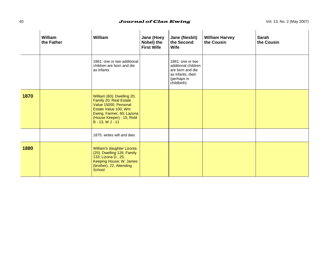### 40 **Journal of Clan Ewing Vol. 13, No. 2 (May 2007)**

|      | William<br>the Father | William                                                                                                                                                                             | Jane (Hoey<br>Nobel) the<br><b>First Wife</b> | Jane (Nesbit)<br>the Second<br>Wife                                                                           | <b>William Harvey</b><br>the Cousin | Sarah<br>the Cousin |
|------|-----------------------|-------------------------------------------------------------------------------------------------------------------------------------------------------------------------------------|-----------------------------------------------|---------------------------------------------------------------------------------------------------------------|-------------------------------------|---------------------|
|      |                       | 1861: one or two additional<br>children are born and die<br>as infants                                                                                                              |                                               | 1861: one or two<br>additional children<br>are born and die<br>as infants; died<br>(perhaps in<br>childbirth) |                                     |                     |
| 1870 |                       | William {60}: Dwelling 20,<br>Family 20; Real Estate<br>Value 15000, Personal<br>Estate Value 100; Wm<br>Ewing, Farmer, 60; Lazona<br>(House Keeper) - 15, Robt<br>B - 13, W J - 11 |                                               |                                                                                                               |                                     |                     |
|      |                       | 1875: writes will and dies                                                                                                                                                          |                                               |                                                                                                               |                                     |                     |
| 1880 |                       | William's daughter Lizonia<br>{25}: Dwelling 126; Family<br>133; Lizona D., 25,<br>Keeping House; W. James<br>(brother), 22, Attending<br>School                                    |                                               |                                                                                                               |                                     |                     |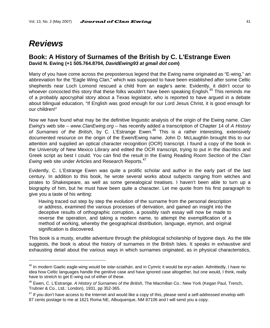# *Reviews*

l

### **Book: A History of Surnames of the British by C. L'Estrange Ewen David N. Ewing (+1 505.764.8704,** *DavidEwing93 at gmail dot com***)**

Many of you have come across the preposterous legend that the Ewing name originated as "E-wing," an abbreviation for the "Eagle Wing Clan," which was supposed to have been established after some Celtic shepherds near Loch Lomond rescued a child from an eagle's aerie. Evidently, it didn't occur to whoever concocted this story that these folks wouldn't have been speaking English.<sup>45</sup> This reminds me of a probably apocryphal story about a Texas legislator, who is reported to have argued in a debate about bilingual education, "If English was good enough for our Lord Jesus Christ, it is good enough for our children!"

Now we have found what may be the definitive linguistic analysis of the origin of the Ewing name. *Clan Ewing*'s web site – *www.ClanEwing.org* – has recently added a transcription of Chapter 14 of *A History of Surnames of the British*, by C. L'Estrange Ewen.46 This is a rather interesting, extensively documented resource on the origin of the Ewen/Ewing name. John D. McLaughlin brought this to our attention and supplied an optical character recognition (OCR) transcript. I found a copy of the book in the University of New Mexico Library and edited the OCR transcript, trying to put in the diacritics and Greek script as best I could. You can find the result in the Ewing Reading Room Section of the *Clan Ewing* web site under Articles and Research Reports.<sup>47</sup>

Evidently, C. L'Estrange Ewen was quite a prolific scholar and author in the early part of the last century. In addition to this book, he wrote several works about subjects ranging from witches and pirates to Shakespeare, as well as some genealogical treatises. I haven't been able to turn up a biography of him, but he must have been quite a character. Let me quote from his first paragraph to give you a taste of his writing:

Having traced out step by step the evolution of the surname from the personal description or address, examined the various processes of derivation, and gained an insight into the deceptive results of orthographic corruption, a possibly rash essay will now be made to reverse the operation, and taking a modern name, to attempt the exemplification of a method of working, whereby the geographical distribution, language, etymon, and original signification is discovered.

This book is a musty, erudite adventure through the philological scholarship of bygone days. As the title suggests, the book is about the history of surnames in the British Isles. It speaks in exhaustive and exhausting detail about the various ways in which surnames originated, as in physical characteristics,

<sup>45</sup> In modern Gaelic eagle-wing would be *iolar-sciathán*, and in Cymric it would be *eryr-adain*. Admittedly, I have no idea how Celtic languages handle the genitive case and have ignored case altogether, but one would, I think, really have to stretch to get E-wing out of either of these.

<sup>46</sup> Ewen, C. L'Estrange. *A History of Surnames of the British*, The Macmillan Co.: New York (Kegan Paul, Trench, Trubner & Co., Ltd.: London), 1931, pp 352-365.

 $^{47}$  If you don't have access to the Internet and would like a copy of this, please send a self-addressed envelop with 87 cents postage to me at 1621 Roma NE, Albuquerque, NM 87106 and I will send you a copy.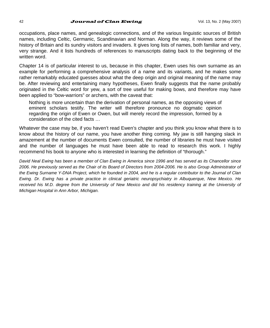### 42 **Journal of Clan Ewing**  $\sqrt{0.41}$  Vol. 13, No. 2 (May 2007)

occupations, place names, and genealogic connections, and of the various linguistic sources of British names, including Celtic, Germanic, Scandinavian and Norman. Along the way, it reviews some of the history of Britain and its sundry visitors and invaders. It gives long lists of names, both familiar and very, very strange. And it lists hundreds of references to manuscripts dating back to the beginning of the written word.

Chapter 14 is of particular interest to us, because in this chapter, Ewen uses his own surname as an example for performing a comprehensive analysis of a name and its variants, and he makes some rather remarkably educated guesses about what the deep origin and original meaning of the name may be. After reviewing and entertaining many hypotheses, Ewen finally suggests that the name probably originated in the Celtic word for yew, a sort of tree useful for making bows, and therefore may have been applied to "bow-warriors" or archers, with the caveat that:

Nothing is more uncertain than the derivation of personal names, as the opposing views of eminent scholars testify. The writer will therefore pronounce no dogmatic opinion regarding the origin of Ewen or Owen, but will merely record the impression, formed by a consideration of the cited facts …

Whatever the case may be, if you haven't read Ewen's chapter and you think you know what there is to know about the history of our name, you have another thing coming. My jaw is still hanging slack in amazement at the number of documents Ewen consulted, the number of libraries he must have visited and the number of languages he must have been able to read to research this work. I highly recommend his book to anyone who is interested in learning the definition of "thorough."

*David Neal Ewing has been a member of Clan Ewing in America since 1996 and has served as its Chancellor since*  2006. He previously served as the Chair of its Board of Directors from 2004-2006. He is also Group Administrator of *the Ewing Surname Y-DNA Project, which he founded in 2004, and he is a regular contributor to the Journal of Clan Ewing. Dr. Ewing has a private practice in clinical geriatric neuropsychiatry in Albuquerque, New Mexico. He*  received his M.D. degree from the University of New Mexico and did his residency training at the University of *Michigan Hospital in Ann Arbor, Michigan.*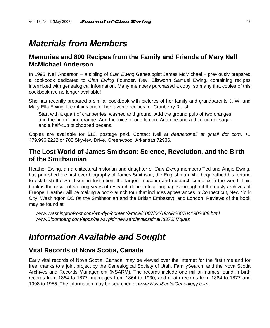# *Materials from Members*

# **Memories and 800 Recipes from the Family and Friends of Mary Nell McMichael Anderson**

In 1995, Nell Anderson – a sibling of *Clan Ewing* Genealogist James McMichael – previously prepared a cookbook dedicated to *Clan Ewing* Founder, Rev. Ellsworth Samuel Ewing, containing recipes intermixed with genealogical information. Many members purchased a copy; so many that copies of this cookbook are no longer available!

She has recently prepared a similar cookbook with pictures of her family and grandparents J. W. and Mary Ella Ewing. It contains one of her favorite recipes for Cranberry Relish:

Start with a quart of cranberries, washed and ground. Add the ground pulp of two oranges and the rind of one orange. Add the juice of one lemon. Add one-and-a-third cup of sugar and a half-cup of chopped pecans.

Copies are available for \$12, postage paid. Contact Nell at *deanandnell at gmail dot com*, +1 479.996.2222 or 705 Skyview Drive, Greenwood, Arkansas 72936.

# **The Lost World of James Smithson: Science, Revolution, and the Birth of the Smithsonian**

Heather Ewing, an architectural historian and daughter of *Clan Ewing* members Ted and Angie Ewing, has published the first-ever biography of James Smithson, the Englishman who bequeathed his fortune to establish the Smithsonian Institution, the largest museum and research complex in the world. This book is the result of six long years of research done in four languages throughout the dusty archives of Europe. Heather will be making a book-launch tour that includes appearances in Connecticut, New York City, Washington DC (at the Smithsonian and the British Embassy), and London. Reviews of the book may be found at:

 *www.WashingtonPost.com/wp-dyn/content/article/2007/04/19/AR2007041902088.html www.Bloomberg.com/apps/news?pid=newsarchive&sid=aHg372H7ques* 

# *Information Available and Sought*

# **Vital Records of Nova Scotia, Canada**

Early vital records of Nova Scotia, Canada, may be viewed over the Internet for the first time and for free, thanks to a joint project by the Genealogical Society of Utah, FamilySearch, and the Nova Scotia Archives and Records Management (NSARM). The records include one million names found in birth records from 1864 to 1877, marriages from 1864 to 1930, and death records from 1864 to 1877 and 1908 to 1955. The information may be searched at *www.NovaScotiaGenealogy.com*.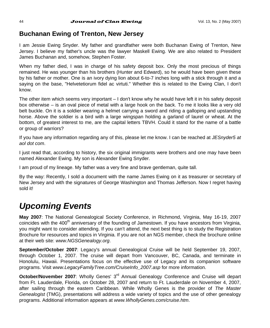# **Buchanan Ewing of Trenton, New Jersey**

I am Jessie Ewing Snyder. My father and grandfather were both Buchanan Ewing of Trenton, New Jersey. I believe my father's uncle was the lawyer Maskell Ewing. We are also related to President James Buchanan and, somehow, Stephen Foster.

When my father died, I was in charge of his safety deposit box. Only the most precious of things remained. He was younger than his brothers (Hunter and Edward), so he would have been given these by his father or mother. One is an ivory dying lion about 6-to-7 inches long with a stick through it and a saying on the base, "Helvetetiorum fidel ac virtuti." Whether this is related to the Ewing Clan, I don't know.

The other item which seems very important – I don't know why he would have left it in his safety deposit box otherwise – is an oval piece of metal with a large hook on the back. To me it looks like a very old belt buckle. On it is a soldier wearing a helmet carrying a sword and riding a galloping and upstanding horse. Above the soldier is a bird with a large wingspan holding a garland of laurel or wheat. At the bottom, of greatest interest to me, are the capital letters TBVH. Could it stand for the name of a battle or group of warriors?

If you have any information regarding any of this, please let me know. I can be reached at *JESnyder5 at aol dot com*.

I just read that, according to history, the six original immigrants were brothers and one may have been named Alexander Ewing. My son is Alexander Ewing Snyder.

I am proud of my lineage. My father was a very fine and brave gentleman, quite tall.

By the way: Recently, I sold a document with the name James Ewing on it as treasurer or secretary of New Jersey and with the signatures of George Washington and Thomas Jefferson. Now I regret having sold it!

# *Upcoming Events*

**May 2007**: The National Genealogical Society Conference, in Richmond, Virginia, May 16-19, 2007 coincides with the 400<sup>th</sup> anniversary of the founding of Jamestown. If you have ancestors from Virginia, you might want to consider attending. If you can't attend, the next best thing is to study the Registration Brochure for resources and topics in Virginia. If you are not an NGS member, check the brochure online at their web site: *www.NGSGenealogy.org*.

**September/October 2007**: Legacy's annual Genealogical Cruise will be held September 19, 2007, through October 1, 2007. The cruise will depart from Vancouver, BC, Canada, and terminate in Honolulu, Hawaii. Presentations focus on the effective use of Legacy and its companion software programs. Visit *www.LegacyFamilyTree.com/CruiseInfo\_2007.asp* for more information.

**October/November 2007:** Wholly Genes' 3<sup>rd</sup> Annual Genealogy Conference and Cruise will depart from Ft. Lauderdale, Florida, on October 28, 2007 and return to Ft. Lauderdale on November 4, 2007, after sailing through the eastern Caribbean. While Wholly Genes is the provider of *The Master Genealogist* (TMG), presentations will address a wide variety of topics and the use of other genealogy programs. Additional information appears at *www.WhollyGenes.com/cruise.htm*.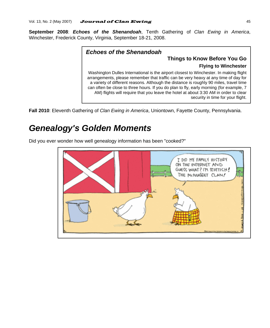**September 2008**: *Echoes of the Shenandoah*, Tenth Gathering of *Clan Ewing in America*, Winchester, Frederick County, Virginia, September 18-21, 2008.

### *Echoes of the Shenandoah*

### **Things to Know Before You Go Flying to Winchester**

Washington Dulles International is the airport closest to Winchester. In making flight arrangements, please remember that traffic can be very heavy at any time of day for a variety of different reasons. Although the distance is roughly 90 miles, travel time can often be close to three hours. If you do plan to fly, early morning (for example, 7 AM) flights will require that you leave the hotel at about 3:30 AM in order to clear security in time for your flight.

**Fall 2010**: Eleventh Gathering of *Clan Ewing in America*, Uniontown, Fayette County, Pennsylvania.

# *Genealogy's Golden Moments*

Did you ever wonder how well genealogy information has been "cooked?"

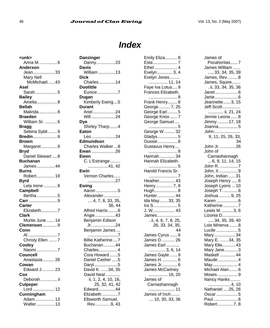# *Index*

**<unk>**  Anna M. ..............6 **Anderson**  Jean..................33 Mary Nell McMichael......43 **Asel**  Sarah ..................5 **Bailey**  Amelia.................8 **Bellah**  Malinda ...............8 **Braeden**  William Sr. ..........6 **Bragg**  Sebina Sybil........9 **Bredin**....................6 **Brown**  Margaret .............9 **Bryd**  Daniel Stewart ....8 **Buchanan**  James ...............44 **Burns**  Robert...............19 **Byrd**  Leta Irene ...........8 **Campbell**  Bertha .................5 **Carr**........................9 **Carter**  Elizabeth.............7 **Clark**  Murtie June.......14 **Clemensen** ............9 **Conn**  Al ........................7 Christy Ellen .......7 **Cooley**  Naomi .................7 **Councell**  Anastasia..........26 **Cowan**  Edward J...........23 **Cox**  Deborah.............. ii **Culpeper**  Lord ..................12 **Cunningham**  Adam ................13 Walter ...............13

**Danzinger**  Danny................23 **Davis**  William ..............13 **Dick**  Charles..............14 **Doolittle**  Eunice.................7 **Dugan**  Kimberly Ewing ...5 **Durant**  Ariel...................24 Will ....................24 **Dye**  Shirley Tharp.......4 **Eaton**  Leo ....................24 **Edmundson**  Charles Walker ...8 **Ewan** ....................26 **Ewen**  C. L'Estrange ........ .................41, 42 **Ewin**  Vernon Charles..... .......................27 **Ewing**  Aaron ..................5 Alexander.............. ....4, 7, 8, 33, 35, 36, 44 Alfred Harris........6 Angie.................43 Benjamin Edison Jr. ...................24 Benjamin James ... .........................7 Billie Katherine....7 Buchanan..........44 Charles................4 Cora Howard.......5 Daniel Casher .....5 Daryl....................5 David K. ......34, 35 David Neal ............ ii, 1, 2, 4, 10, 16, 25, 32, 41, 42 Edward..............44 Elizabeth .............7 Ellsworth Samuel, Rev.............9, 43

| ⊏пшу ⊏⊪∠а о<br>Esta  7<br>Ethel  4<br>Evelyn 3, 4<br>Evelyn Jones<br>11, 14                                     |
|-----------------------------------------------------------------------------------------------------------------|
| Faye Iva Lotus 9<br>Frances Elizabeth.<br>8                                                                     |
| Frank Henry 8<br>George  7, 25<br>George Earl  5<br>George Knox<br>George Samuel<br>5                           |
| George W.  32<br>Gladys  5<br>Gussie  8<br>Gustavus Henry                                                       |
| Hannah 34<br>Hannah Elizabeth.                                                                                  |
| 5<br>Harold Francis Sr.                                                                                         |
| Heather 43<br>Henry. <mark> 7, 8</mark><br>Hugh 8<br>Hunter 44<br>Ida May 33, 35<br>Ira S………………… 5<br>J. W.  43 |
| James<br>ii, 4, 6, 7, 8, 25, 26, 33, 34, 35,<br>44                                                              |
| James Cyrus  6<br>James D.  26<br>James Earl<br>3, 6, 14                                                        |
| James Gayle  9<br>James H.  6<br>James Jr 6<br>James McCartney<br>16, 20                                        |
| James of<br>Carnashannagh                                                                                       |
| James of Inch<br>10, 30, 33, 36                                                                                 |

Emily Eliza.......... 8

| James of                            |
|-------------------------------------|
| Pocahontas7                         |
| James William                       |
|                                     |
| James, Squire                       |
| . ii, 33, 34, 35, 36                |
| Janet6                              |
| Janie  6                            |
| Jeannette  3, 15<br>Jeff Scott      |
| ii, 21, 24                          |
| Jennie Leona  8                     |
| Jimmy  17, 18                       |
| Joanna 5                            |
| John<br>9, 11, 25, 26, 33,          |
| 34                                  |
| بی<br>2626                          |
| John of                             |
| Carnashannagh                       |
| 6, 9, 11, 14, 15                    |
| John R. 7                           |
| John, II9                           |
| John, Indian  31<br>Joseph Henry  6 |
| Joseph Lyons  10                    |
| Joseph T6                           |
| <br>Joshua  9, 25                   |
| Karen  6                            |
| Katherine 7                         |
| Lewis M. 3, 6<br>Lizonia D          |
| $\ldots$ 34, 35, 39, 40             |
| Lois Minerva 8                      |
| Lucile 5                            |
| Mary34                              |
| Mary E.  34, 35                     |
| Mary Ella43                         |
| Mary Jane3<br>Maskell  44           |
| Maude4                              |
| May4                                |
| Michael Alan 6                      |
| Moses9                              |
| Nancy Hanks<br>4, 10                |
| Nathaniel  25, 26                   |
| Oscar 5                             |
| Paul 6                              |
| Robert7<br>, 8                      |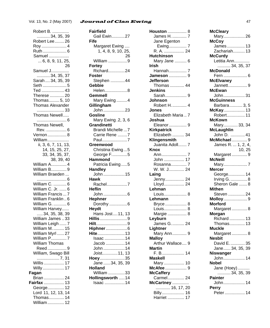#### Robert B. .............. ........... 34, 35, 39 Robert Lee........ 26 Roy ..................... 4 Ruth.................... 6 Samuel ................. ... 6, 8, 9, 11, 25, 26 Samuel J............... ........... 34, 35, 37 Sarah.... 34, 35, 39 Seth .................... 5 Ted ................... 43 Therese ............ 20 Thomas......... 5, 10 Thomas Alexander ....................... 33 Thomas Newell..... ......................... 6 Thomas Newell, Rev. ................. 6 Vernon................ 8 William.................. ii, 3, 6, 7, 11, 13, 14, 15, 25, 27, 33, 34, 35, 37, 38, 39, 40 William A............. 4 William B............. 9 William Braeden ......................... 6 William C. ........... 6 William C. Jr. ...... 6 William Francis ... 7 William Franklin .. 6 William G. ........... 6 William Harvey...... ..... 34, 35, 38, 39 William James .. 33 William Leigh ...... 7 William M.......... 15 William Myrl ...... 27 William P............. 7 William Thomas Reed ................ 9 William, Swago Bill ................... 7, 31 Willis ................. 17 Willy.................. 17 **Fagan**  Brian ................. 24 **Fairfax** ................. 13 George.............. 12 Lord 11, 12, 13, 14 Thomas............. 14

William.............. 12

#### **Fairfield**  Gail Ewin...........27 **Fife**  Margaret Ewing .... 1, 4, 8, 9, 10, 25, 26 William ................9 **Fortey**  Richard..............24 **Foster**  Stephen ............44 **Gebbie**  Helen...................8 **Gemmell**  Mary Ewing .........4 **Gillingham**  John ..................23 **Gosline**  Mary Ewing .2, 3, 6 **Grandinetti**  Brandi Michelle ...7 Carrie Rene ........7 Paul.....................7 **Greenwood**  Christina Ewing...5 George F.............5 **Hammond**  Patricia Ewing .....5 **Handley**  John ..................15 **Hawk**  Rachel.................7 **Heflin**  John ....................6 **Hephner**  Dorothy ...............6 **Heydt**  Hans Jost....11, 13 **Hillis**.......................9 **Hilt**..........................9 **Hiphner**..................6 **Hite**.......................13 Isaac .................14 Jacob ................14 John ..................14 Joist.............11, 13 **Hoey**.....................35 Jane ......34, 35, 39 **Holland**  William ..............33 **Hollingsworth** .....14 Isaac .................14

| James H.<br>7                |
|------------------------------|
| Jane Egenton                 |
| Ewing 7                      |
|                              |
| R. A.  24                    |
| <b>Hutchinson</b>            |
| Mary Jane  6                 |
| Irish                        |
| Hannah 7                     |
| <b>Jameson</b> 9             |
| Jefferson                    |
| Thomas  44                   |
| Jenkins                      |
| <br>Sarah 9                  |
|                              |
| Johnson                      |
| Robert H.  4                 |
| Jones                        |
| Elizabeth Maria<br>7         |
| Joshua                       |
| Eleanor 9                    |
|                              |
| Kirkpatrick<br>Elizabeth  34 |
| Klingensmith                 |
| Juanita Adoll 7              |
|                              |
| Knox                         |
| Ann<br>7                     |
| John  17                     |
| Rosanna 7                    |
| W. W. J…………. 24              |
| Laing                        |
| Jenny 24                     |
| Lloyd 24                     |
| Lehman                       |
| Louis 8                      |
| Lehmann                      |
|                              |
| Bryce  8                     |
| Louis 8                      |
| Margie  8                    |
| Leyburn                      |
| James G.  24                 |
| Lightner                     |
| Mary Ann 9                   |
| Malloy                       |
| Arthur Wallace 9             |
| Martin                       |
|                              |
| F. B 14                      |
| Maskell                      |
| Mary  10                     |
| McAfee  9                    |
| <b>McCaffery</b>             |
| Carmel 24                    |
| McCartney<br>16, 17, 20      |
|                              |
| Billy<br>16                  |
| Harriet  17                  |
|                              |

**Houston** 8

| <b>McCleary</b>                          |
|------------------------------------------|
| Mary26                                   |
| McCoy                                    |
| James 13                                 |
| Zachariah 13                             |
| McCurdy                                  |
| Letitia Ann<br>34, 35, 37                |
|                                          |
| McDonald                                 |
|                                          |
| <b>McElvaney</b>                         |
| Jannett9                                 |
| McEwan                                   |
| John 31                                  |
| <b>McGuinness</b>                        |
| Barbara 3, 5                             |
| McKay 13                                 |
| Robert 11                                |
| McKown<br><b>скоwn</b><br>Mary 33, 34    |
|                                          |
| McLaughlin                               |
| John D.  41                              |
| <b>McMichael</b> 9<br>James R.  1, 2, 4, |
| 10, 25                                   |
| Margaret9                                |
| McNeill                                  |
| Mary7                                    |
| Mercer                                   |
| George 14                                |
|                                          |
| Irving G.  8<br>Sheron Gale  8           |
| Mithen                                   |
| Steven  24                               |
| Molloy9                                  |
| Morford                                  |
| -------<br>Margaret 8                    |
| Morgan                                   |
| Richard  13                              |
| Thomas 13                                |
| Muckle                                   |
|                                          |
|                                          |
| Margaret8                                |
| Nesbit                                   |
| David E.  35                             |
| Jane 34, 35, 39                          |
| <b>Niswanger</b>                         |
| John 14                                  |
| <b>Nobel</b>                             |
| Jane (Hoey)                              |
| $\ldots$ . 34, 35, 39<br>Painter         |
|                                          |
| John 14<br>Perry                         |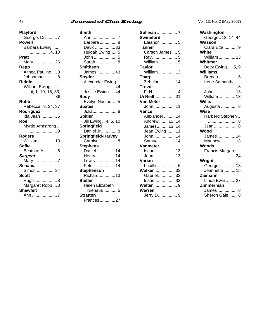### 48 **Journal of Clan Ewing** Vol. 13, No. 2 (May 2007)

| Playford                 |
|--------------------------|
| George, Dr.  7<br>Powell |
| Barbara Ewing            |
| 4, 10                    |
| Pratt                    |
| Mary26                   |
| Repp                     |
| Althea Pauline  8        |
| Johnathan8               |
| Riddle                   |
| William Ewing            |
| ii, 1, 10, 16, 33,       |
| 36                       |
| Robb                     |
| Rebecca . 8, 34, 37      |
| Rodriguez                |
| Ida Jean5                |
| Roe<br>Myrtle Armstrong  |
|                          |
| Rogers                   |
| William  13              |
| Safka                    |
| Beatrice A.  6           |
| <b>Sargent</b>           |
| Mary7                    |
| Schama                   |
| Simon 24                 |
| Scott                    |
| Hugh  8                  |
| Margaret Robb8           |
| <b>Shewfelt</b>          |
| Ann 7                    |
|                          |

| Smith              |
|--------------------|
| Ann7               |
| Barbara 8          |
| David33            |
| Huldah Ewing5      |
| John 5             |
| Sarah 8            |
| <b>Smithson</b>    |
| James 43           |
| Snyder             |
| Alexander Ewing    |
|                    |
| Jessie Ewing44     |
| Soov               |
| Evelyn Nadine5     |
| <b>Spates</b>      |
| Julia8             |
| <b>Spitler</b>     |
| Jill Ewing4, 5, 10 |
| <b>Springfield</b> |
| Daniel Jr8         |
| Springfield-Harvey |
| Carolyn8           |
| <b>Stephens</b>    |
| Daniel14           |
| Henry 14           |
| Lewis14            |
| Peter 14           |
| Stephenson         |
| Richard13          |
| <b>Stetler</b>     |
| Helen Elizabeth    |
| Niehaus…………5       |
| <b>Stratton</b>    |
| Frances27          |

| Sullivan  7       |
|-------------------|
| Swineford         |
| Eleanor 5         |
| Tanner            |
| Carson James  5   |
| Ray 5             |
| William 5         |
| Taylor            |
| William 13        |
| Tharp             |
| Zebulon  14       |
| <b>Trevor</b>     |
| F. N 4            |
| Ui Neill 31       |
| Van Meter         |
| John 11           |
| Vance             |
| Alexander 14      |
| Andrew  11.<br>14 |
| James 13.<br>14   |
| Jean Ewing<br>11  |
| 14<br>John        |
| Samuel  14        |
| Vanmeter          |
| Isaac 13          |
| John 13           |
| Varian            |
| Lucille  6        |
| <b>Walker  33</b> |
| Gabriel 33        |
| Isaac 33          |
| <b>Walter</b> 9   |
| Warren            |
| Jerry D 9         |

**Washington**  George..12, 14, 44 **Wasson**  Clara Etta............9 **White**  William ..............13 **Whitmer**  Betty Ewing.....5, 9 **Williams**  Brenda ................6 Irene Samantha .... .........................8 John..................13 William ..............13 **Willis**  Augusta ..............8 **Wise**  Harberd Stephen .. .........................8 Jean....................8 **Wood**  James ...............14 Matthew ............13 **Woods**  Francis Margaret .......................34 **Wright**  George..............13 Jeannette..........15 **Ziemann**  Linda Ewin ........27 **Zimmerman**  James .................8 Sheron Gale .......8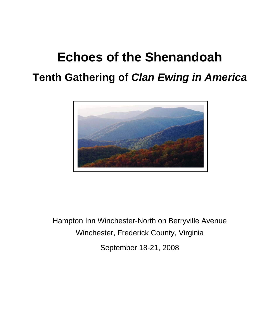# **Echoes of the Shenandoah Tenth Gathering of** *Clan Ewing in America*



Hampton Inn Winchester-North on Berryville Avenue Winchester, Frederick County, Virginia September 18-21, 2008